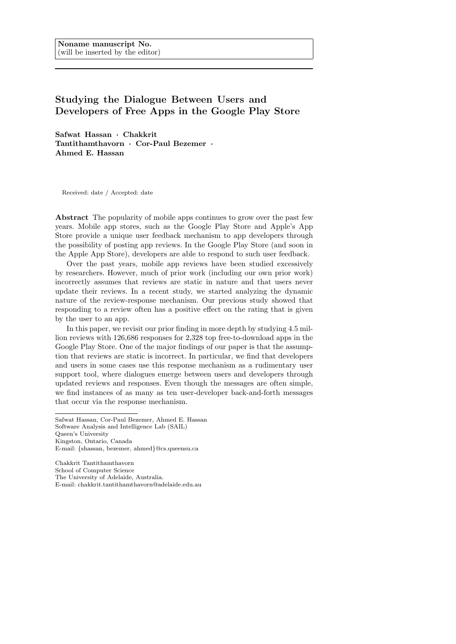# Studying the Dialogue Between Users and Developers of Free Apps in the Google Play Store

Safwat Hassan · Chakkrit Tantithamthavorn · Cor-Paul Bezemer · Ahmed E. Hassan

Received: date / Accepted: date

Abstract The popularity of mobile apps continues to grow over the past few years. Mobile app stores, such as the Google Play Store and Apple's App Store provide a unique user feedback mechanism to app developers through the possibility of posting app reviews. In the Google Play Store (and soon in the Apple App Store), developers are able to respond to such user feedback.

Over the past years, mobile app reviews have been studied excessively by researchers. However, much of prior work (including our own prior work) incorrectly assumes that reviews are static in nature and that users never update their reviews. In a recent study, we started analyzing the dynamic nature of the review-response mechanism. Our previous study showed that responding to a review often has a positive effect on the rating that is given by the user to an app.

In this paper, we revisit our prior finding in more depth by studying 4.5 million reviews with 126,686 responses for 2,328 top free-to-download apps in the Google Play Store. One of the major findings of our paper is that the assumption that reviews are static is incorrect. In particular, we find that developers and users in some cases use this response mechanism as a rudimentary user support tool, where dialogues emerge between users and developers through updated reviews and responses. Even though the messages are often simple, we find instances of as many as ten user-developer back-and-forth messages that occur via the response mechanism.

Chakkrit Tantithamthavorn School of Computer Science The University of Adelaide, Australia. E-mail: chakkrit.tantithamthavorn@adelaide.edu.au

Safwat Hassan, Cor-Paul Bezemer, Ahmed E. Hassan

Software Analysis and Intelligence Lab (SAIL)

Queen's University

Kingston, Ontario, Canada E-mail: {shassan, bezemer, ahmed}@cs.queensu.ca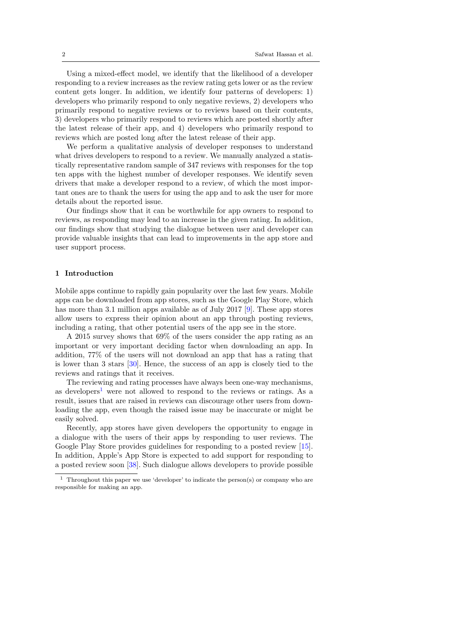Using a mixed-effect model, we identify that the likelihood of a developer responding to a review increases as the review rating gets lower or as the review content gets longer. In addition, we identify four patterns of developers: 1) developers who primarily respond to only negative reviews, 2) developers who primarily respond to negative reviews or to reviews based on their contents, 3) developers who primarily respond to reviews which are posted shortly after the latest release of their app, and 4) developers who primarily respond to reviews which are posted long after the latest release of their app.

We perform a qualitative analysis of developer responses to understand what drives developers to respond to a review. We manually analyzed a statistically representative random sample of 347 reviews with responses for the top ten apps with the highest number of developer responses. We identify seven drivers that make a developer respond to a review, of which the most important ones are to thank the users for using the app and to ask the user for more details about the reported issue.

Our findings show that it can be worthwhile for app owners to respond to reviews, as responding may lead to an increase in the given rating. In addition, our findings show that studying the dialogue between user and developer can provide valuable insights that can lead to improvements in the app store and user support process.

## 1 Introduction

Mobile apps continue to rapidly gain popularity over the last few years. Mobile apps can be downloaded from app stores, such as the Google Play Store, which has more than 3.1 million apps available as of July 2017 [\[9\]](#page-40-0). These app stores allow users to express their opinion about an app through posting reviews, including a rating, that other potential users of the app see in the store.

A 2015 survey shows that 69% of the users consider the app rating as an important or very important deciding factor when downloading an app. In addition, 77% of the users will not download an app that has a rating that is lower than 3 stars [\[30\]](#page-41-0). Hence, the success of an app is closely tied to the reviews and ratings that it receives.

The reviewing and rating processes have always been one-way mechanisms, as developers<sup>[1](#page-1-0)</sup> were not allowed to respond to the reviews or ratings. As a result, issues that are raised in reviews can discourage other users from downloading the app, even though the raised issue may be inaccurate or might be easily solved.

Recently, app stores have given developers the opportunity to engage in a dialogue with the users of their apps by responding to user reviews. The Google Play Store provides guidelines for responding to a posted review [\[15\]](#page-40-1). In addition, Apple's App Store is expected to add support for responding to a posted review soon [\[38\]](#page-41-1). Such dialogue allows developers to provide possible

<span id="page-1-0"></span><sup>&</sup>lt;sup>1</sup> Throughout this paper we use 'developer' to indicate the person(s) or company who are responsible for making an app.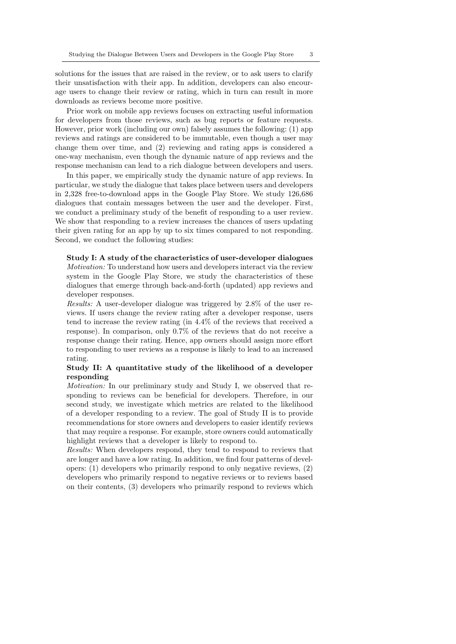solutions for the issues that are raised in the review, or to ask users to clarify their unsatisfaction with their app. In addition, developers can also encourage users to change their review or rating, which in turn can result in more downloads as reviews become more positive.

Prior work on mobile app reviews focuses on extracting useful information for developers from those reviews, such as bug reports or feature requests. However, prior work (including our own) falsely assumes the following: (1) app reviews and ratings are considered to be immutable, even though a user may change them over time, and (2) reviewing and rating apps is considered a one-way mechanism, even though the dynamic nature of app reviews and the response mechanism can lead to a rich dialogue between developers and users.

In this paper, we empirically study the dynamic nature of app reviews. In particular, we study the dialogue that takes place between users and developers in 2,328 free-to-download apps in the Google Play Store. We study 126,686 dialogues that contain messages between the user and the developer. First, we conduct a preliminary study of the benefit of responding to a user review. We show that responding to a review increases the chances of users updating their given rating for an app by up to six times compared to not responding. Second, we conduct the following studies:

### Study I: A study of the characteristics of user-developer dialogues

Motivation: To understand how users and developers interact via the review system in the Google Play Store, we study the characteristics of these dialogues that emerge through back-and-forth (updated) app reviews and developer responses.

Results: A user-developer dialogue was triggered by 2.8% of the user reviews. If users change the review rating after a developer response, users tend to increase the review rating (in 4.4% of the reviews that received a response). In comparison, only 0.7% of the reviews that do not receive a response change their rating. Hence, app owners should assign more effort to responding to user reviews as a response is likely to lead to an increased rating.

## Study II: A quantitative study of the likelihood of a developer responding

Motivation: In our preliminary study and Study I, we observed that responding to reviews can be beneficial for developers. Therefore, in our second study, we investigate which metrics are related to the likelihood of a developer responding to a review. The goal of Study II is to provide recommendations for store owners and developers to easier identify reviews that may require a response. For example, store owners could automatically highlight reviews that a developer is likely to respond to.

Results: When developers respond, they tend to respond to reviews that are longer and have a low rating. In addition, we find four patterns of developers: (1) developers who primarily respond to only negative reviews, (2) developers who primarily respond to negative reviews or to reviews based on their contents, (3) developers who primarily respond to reviews which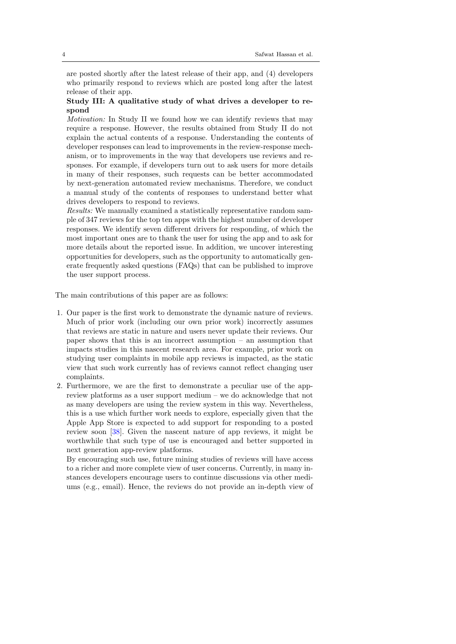are posted shortly after the latest release of their app, and (4) developers who primarily respond to reviews which are posted long after the latest release of their app.

## Study III: A qualitative study of what drives a developer to respond

Motivation: In Study II we found how we can identify reviews that may require a response. However, the results obtained from Study II do not explain the actual contents of a response. Understanding the contents of developer responses can lead to improvements in the review-response mechanism, or to improvements in the way that developers use reviews and responses. For example, if developers turn out to ask users for more details in many of their responses, such requests can be better accommodated by next-generation automated review mechanisms. Therefore, we conduct a manual study of the contents of responses to understand better what drives developers to respond to reviews.

Results: We manually examined a statistically representative random sample of 347 reviews for the top ten apps with the highest number of developer responses. We identify seven different drivers for responding, of which the most important ones are to thank the user for using the app and to ask for more details about the reported issue. In addition, we uncover interesting opportunities for developers, such as the opportunity to automatically generate frequently asked questions (FAQs) that can be published to improve the user support process.

The main contributions of this paper are as follows:

- 1. Our paper is the first work to demonstrate the dynamic nature of reviews. Much of prior work (including our own prior work) incorrectly assumes that reviews are static in nature and users never update their reviews. Our paper shows that this is an incorrect assumption – an assumption that impacts studies in this nascent research area. For example, prior work on studying user complaints in mobile app reviews is impacted, as the static view that such work currently has of reviews cannot reflect changing user complaints.
- 2. Furthermore, we are the first to demonstrate a peculiar use of the appreview platforms as a user support medium – we do acknowledge that not as many developers are using the review system in this way. Nevertheless, this is a use which further work needs to explore, especially given that the Apple App Store is expected to add support for responding to a posted review soon [\[38\]](#page-41-1). Given the nascent nature of app reviews, it might be worthwhile that such type of use is encouraged and better supported in next generation app-review platforms.

By encouraging such use, future mining studies of reviews will have access to a richer and more complete view of user concerns. Currently, in many instances developers encourage users to continue discussions via other mediums (e.g., email). Hence, the reviews do not provide an in-depth view of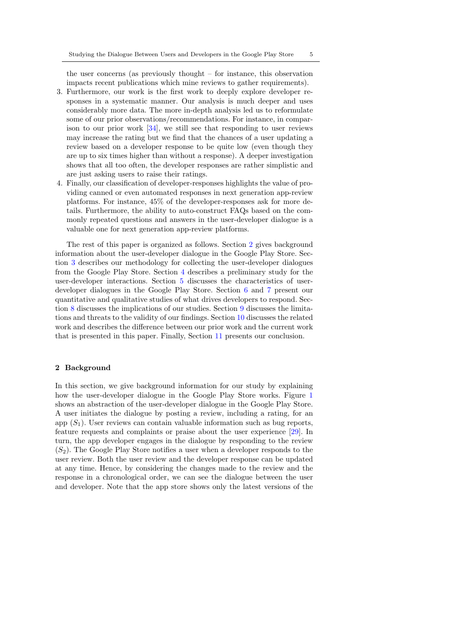the user concerns (as previously thought – for instance, this observation impacts recent publications which mine reviews to gather requirements).

- 3. Furthermore, our work is the first work to deeply explore developer responses in a systematic manner. Our analysis is much deeper and uses considerably more data. The more in-depth analysis led us to reformulate some of our prior observations/recommendations. For instance, in comparison to our prior work [\[34\]](#page-41-2), we still see that responding to user reviews may increase the rating but we find that the chances of a user updating a review based on a developer response to be quite low (even though they are up to six times higher than without a response). A deeper investigation shows that all too often, the developer responses are rather simplistic and are just asking users to raise their ratings.
- 4. Finally, our classification of developer-responses highlights the value of providing canned or even automated responses in next generation app-review platforms. For instance, 45% of the developer-responses ask for more details. Furthermore, the ability to auto-construct FAQs based on the commonly repeated questions and answers in the user-developer dialogue is a valuable one for next generation app-review platforms.

The rest of this paper is organized as follows. Section [2](#page-4-0) gives background information about the user-developer dialogue in the Google Play Store. Section [3](#page-6-0) describes our methodology for collecting the user-developer dialogues from the Google Play Store. Section [4](#page-8-0) describes a preliminary study for the user-developer interactions. Section [5](#page-10-0) discusses the characteristics of userdeveloper dialogues in the Google Play Store. Section [6](#page-17-0) and [7](#page-28-0) present our quantitative and qualitative studies of what drives developers to respond. Section [8](#page-33-0) discusses the implications of our studies. Section [9](#page-35-0) discusses the limitations and threats to the validity of our findings. Section [10](#page-37-0) discusses the related work and describes the difference between our prior work and the current work that is presented in this paper. Finally, Section [11](#page-39-0) presents our conclusion.

### <span id="page-4-0"></span>2 Background

In this section, we give background information for our study by explaining how the user-developer dialogue in the Google Play Store works. Figure [1](#page-5-0) shows an abstraction of the user-developer dialogue in the Google Play Store. A user initiates the dialogue by posting a review, including a rating, for an app  $(S_1)$ . User reviews can contain valuable information such as bug reports, feature requests and complaints or praise about the user experience [\[29\]](#page-41-3). In turn, the app developer engages in the dialogue by responding to the review  $(S_2)$ . The Google Play Store notifies a user when a developer responds to the user review. Both the user review and the developer response can be updated at any time. Hence, by considering the changes made to the review and the response in a chronological order, we can see the dialogue between the user and developer. Note that the app store shows only the latest versions of the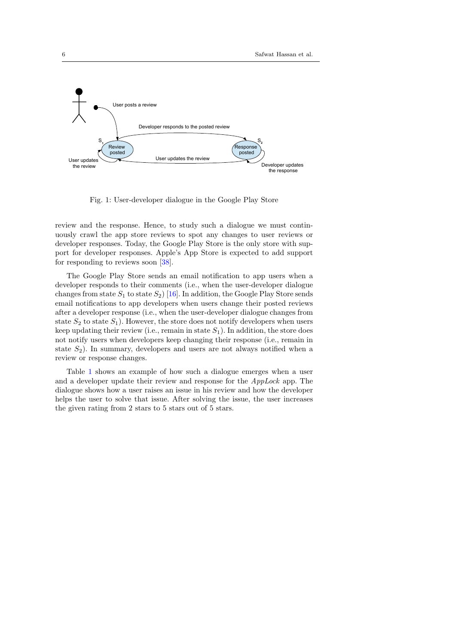<span id="page-5-0"></span>

Fig. 1: User-developer dialogue in the Google Play Store

review and the response. Hence, to study such a dialogue we must continuously crawl the app store reviews to spot any changes to user reviews or developer responses. Today, the Google Play Store is the only store with support for developer responses. Apple's App Store is expected to add support for responding to reviews soon [\[38\]](#page-41-1).

The Google Play Store sends an email notification to app users when a developer responds to their comments (i.e., when the user-developer dialogue changes from state  $S_1$  to state  $S_2$  [\[16\]](#page-40-2). In addition, the Google Play Store sends email notifications to app developers when users change their posted reviews after a developer response (i.e., when the user-developer dialogue changes from state  $S_2$  to state  $S_1$ ). However, the store does not notify developers when users keep updating their review (i.e., remain in state  $S_1$ ). In addition, the store does not notify users when developers keep changing their response (i.e., remain in state  $S_2$ ). In summary, developers and users are not always notified when a review or response changes.

Table [1](#page-6-1) shows an example of how such a dialogue emerges when a user and a developer update their review and response for the AppLock app. The dialogue shows how a user raises an issue in his review and how the developer helps the user to solve that issue. After solving the issue, the user increases the given rating from 2 stars to 5 stars out of 5 stars.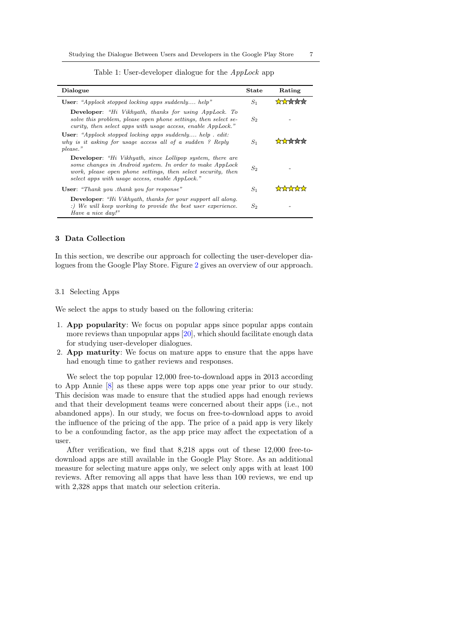Studying the Dialogue Between Users and Developers in the Google Play Store 7

<span id="page-6-1"></span>

| Dialogue                                                                                                                                                                                                                                        | State | Rating |
|-------------------------------------------------------------------------------------------------------------------------------------------------------------------------------------------------------------------------------------------------|-------|--------|
| <b>User</b> : "Applock stopped locking apps suddenly help"                                                                                                                                                                                      | $S_1$ |        |
| <b>Developer:</b> "Hi Vikhyath, thanks for using AppLock. To<br>solve this problem, please open phone settings, then select se-<br>curity, then select apps with usage access, enable AppLock."                                                 | S2    |        |
| <b>User:</b> "Applock stopped locking apps suddenly help $.$ edit:<br>why is it asking for usage access all of a sudden ? Reply<br>please."                                                                                                     | $S_1$ |        |
| <b>Developer:</b> "Hi Vikhyath, since Lollipop system, there are<br>some changes in Android system. In order to make AppLock<br>work, please open phone settings, then select security, then<br>select apps with usage access, enable AppLock." | $S_2$ |        |
| <b>User:</b> "Thank you thank you for response"                                                                                                                                                                                                 | $S_1$ |        |
| <b>Developer:</b> "Hi Vikhyath, thanks for your support all along.<br>$\therefore$ ) We will keep working to provide the best user experience.<br>Have a nice day!"                                                                             | $S_2$ |        |

Table 1: User-developer dialogue for the AppLock app

### <span id="page-6-0"></span>3 Data Collection

In this section, we describe our approach for collecting the user-developer dialogues from the Google Play Store. Figure [2](#page-7-0) gives an overview of our approach.

#### 3.1 Selecting Apps

We select the apps to study based on the following criteria:

- 1. App popularity: We focus on popular apps since popular apps contain more reviews than unpopular apps [\[20\]](#page-40-3), which should facilitate enough data for studying user-developer dialogues.
- 2. App maturity: We focus on mature apps to ensure that the apps have had enough time to gather reviews and responses.

We select the top popular 12,000 free-to-download apps in 2013 according to App Annie [\[8\]](#page-40-4) as these apps were top apps one year prior to our study. This decision was made to ensure that the studied apps had enough reviews and that their development teams were concerned about their apps (i.e., not abandoned apps). In our study, we focus on free-to-download apps to avoid the influence of the pricing of the app. The price of a paid app is very likely to be a confounding factor, as the app price may affect the expectation of a user.

After verification, we find that 8,218 apps out of these 12,000 free-todownload apps are still available in the Google Play Store. As an additional measure for selecting mature apps only, we select only apps with at least 100 reviews. After removing all apps that have less than 100 reviews, we end up with 2,328 apps that match our selection criteria.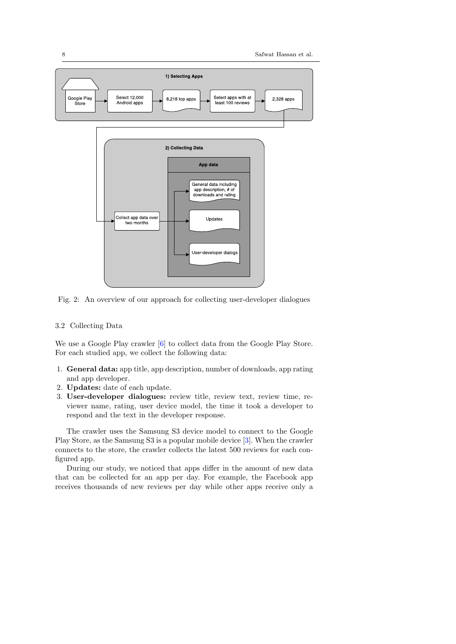<span id="page-7-0"></span>

Fig. 2: An overview of our approach for collecting user-developer dialogues

### 3.2 Collecting Data

We use a Google Play crawler [\[6\]](#page-40-5) to collect data from the Google Play Store. For each studied app, we collect the following data:

- 1. General data: app title, app description, number of downloads, app rating and app developer.
- 2. Updates: date of each update.
- 3. User-developer dialogues: review title, review text, review time, reviewer name, rating, user device model, the time it took a developer to respond and the text in the developer response.

The crawler uses the Samsung S3 device model to connect to the Google Play Store, as the Samsung S3 is a popular mobile device [\[3\]](#page-39-1). When the crawler connects to the store, the crawler collects the latest 500 reviews for each configured app.

During our study, we noticed that apps differ in the amount of new data that can be collected for an app per day. For example, the Facebook app receives thousands of new reviews per day while other apps receive only a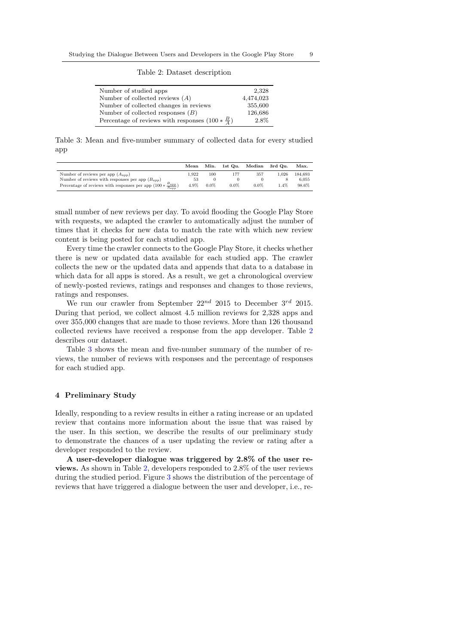Table 2: Dataset description

<span id="page-8-1"></span>

| Number of studied apps                                     | 2,328     |
|------------------------------------------------------------|-----------|
| Number of collected reviews $(A)$                          | 4,474,023 |
| Number of collected changes in reviews                     | 355,600   |
| Number of collected responses $(B)$                        | 126,686   |
| Percentage of reviews with responses $(100 * \frac{B}{4})$ | 2.8%      |

<span id="page-8-2"></span>Table 3: Mean and five-number summary of collected data for every studied app

|                                                                          | Mean  | Min.    | 1st Ou. | $\bm{\mathrm{Median}}$ | 3rd Ou. | Max.    |
|--------------------------------------------------------------------------|-------|---------|---------|------------------------|---------|---------|
| Number of reviews per app $(A_{app})$                                    | . 922 | 100     |         | 357                    | .026    | 184.693 |
| Number of reviews with responses per app $(B_{app})$                     | 53    |         |         |                        |         | 6.055   |
| Percentage of reviews with responses per app $(100 * \frac{B_{app}}{4})$ | 4.9%  | $0.0\%$ | $0.0\%$ | $0.0\%$                | $1.4\%$ | 98.6%   |

small number of new reviews per day. To avoid flooding the Google Play Store with requests, we adapted the crawler to automatically adjust the number of times that it checks for new data to match the rate with which new review content is being posted for each studied app.

Every time the crawler connects to the Google Play Store, it checks whether there is new or updated data available for each studied app. The crawler collects the new or the updated data and appends that data to a database in which data for all apps is stored. As a result, we get a chronological overview of newly-posted reviews, ratings and responses and changes to those reviews, ratings and responses.

We run our crawler from September  $22^{nd}$  2015 to December  $3^{rd}$  2015. During that period, we collect almost 4.5 million reviews for 2,328 apps and over 355,000 changes that are made to those reviews. More than 126 thousand collected reviews have received a response from the app developer. Table [2](#page-8-1) describes our dataset.

Table [3](#page-8-2) shows the mean and five-number summary of the number of reviews, the number of reviews with responses and the percentage of responses for each studied app.

## <span id="page-8-0"></span>4 Preliminary Study

Ideally, responding to a review results in either a rating increase or an updated review that contains more information about the issue that was raised by the user. In this section, we describe the results of our preliminary study to demonstrate the chances of a user updating the review or rating after a developer responded to the review.

A user-developer dialogue was triggered by 2.8% of the user reviews. As shown in Table [2,](#page-8-1) developers responded to 2.8% of the user reviews during the studied period. Figure [3](#page-9-0) shows the distribution of the percentage of reviews that have triggered a dialogue between the user and developer, i.e., re-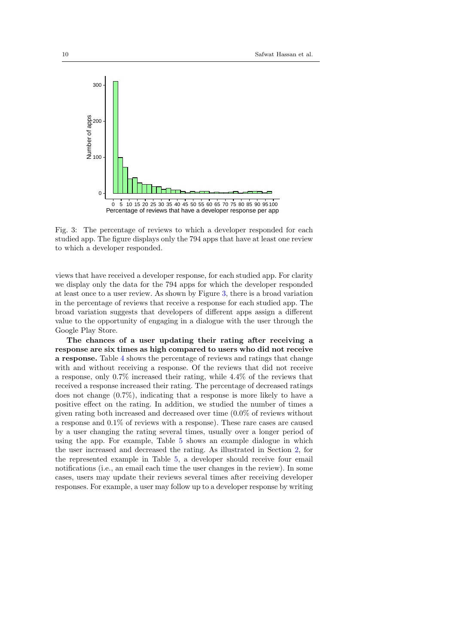<span id="page-9-0"></span>

Fig. 3: The percentage of reviews to which a developer responded for each studied app. The figure displays only the 794 apps that have at least one review to which a developer responded.

views that have received a developer response, for each studied app. For clarity we display only the data for the 794 apps for which the developer responded at least once to a user review. As shown by Figure [3,](#page-9-0) there is a broad variation in the percentage of reviews that receive a response for each studied app. The broad variation suggests that developers of different apps assign a different value to the opportunity of engaging in a dialogue with the user through the Google Play Store.

The chances of a user updating their rating after receiving a response are six times as high compared to users who did not receive a response. Table [4](#page-10-1) shows the percentage of reviews and ratings that change with and without receiving a response. Of the reviews that did not receive a response, only 0.7% increased their rating, while 4.4% of the reviews that received a response increased their rating. The percentage of decreased ratings does not change (0.7%), indicating that a response is more likely to have a positive effect on the rating. In addition, we studied the number of times a given rating both increased and decreased over time (0.0% of reviews without a response and 0.1% of reviews with a response). These rare cases are caused by a user changing the rating several times, usually over a longer period of using the app. For example, Table [5](#page-11-0) shows an example dialogue in which the user increased and decreased the rating. As illustrated in Section [2,](#page-4-0) for the represented example in Table [5,](#page-11-0) a developer should receive four email notifications (i.e., an email each time the user changes in the review). In some cases, users may update their reviews several times after receiving developer responses. For example, a user may follow up to a developer response by writing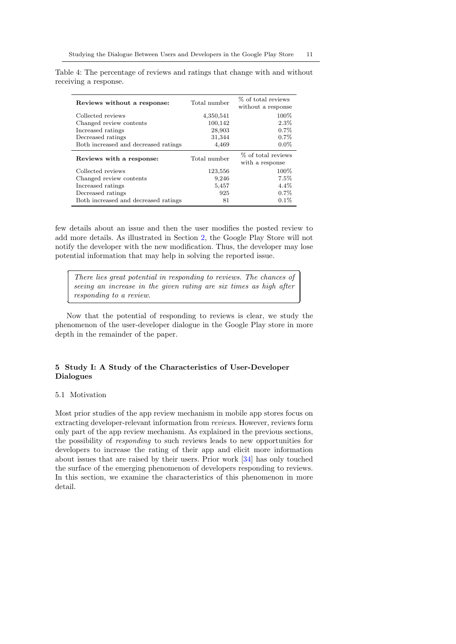| Reviews without a response:          | Total number | % of total reviews<br>without a response |
|--------------------------------------|--------------|------------------------------------------|
| Collected reviews                    | 4,350,541    | $100\%$                                  |
| Changed review contents              | 100,142      | 2.3%                                     |
| Increased ratings                    | 28,903       | $0.7\%$                                  |
| Decreased ratings                    | 31,344       | $0.7\%$                                  |
| Both increased and decreased ratings | 4,469        | $0.0\%$                                  |
| Reviews with a response:             | Total number | % of total reviews                       |
|                                      |              | with a response                          |
| Collected reviews                    | 123,556      | $100\%$                                  |
| Changed review contents              | 9,246        | 7.5%                                     |
| Increased ratings                    | 5,457        | $4.4\%$                                  |
| Decreased ratings                    | 925          | $0.7\%$                                  |

<span id="page-10-1"></span>Table 4: The percentage of reviews and ratings that change with and without receiving a response.

few details about an issue and then the user modifies the posted review to add more details. As illustrated in Section [2,](#page-4-0) the Google Play Store will not notify the developer with the new modification. Thus, the developer may lose potential information that may help in solving the reported issue.

There lies great potential in responding to reviews. The chances of seeing an increase in the given rating are six times as high after responding to a review.

 $\mathbf{r}$ 

l.

Now that the potential of responding to reviews is clear, we study the phenomenon of the user-developer dialogue in the Google Play store in more depth in the remainder of the paper.

## <span id="page-10-0"></span>5 Study I: A Study of the Characteristics of User-Developer Dialogues

#### 5.1 Motivation

✄

 $\overline{a}$ 

Most prior studies of the app review mechanism in mobile app stores focus on extracting developer-relevant information from reviews. However, reviews form only part of the app review mechanism. As explained in the previous sections, the possibility of responding to such reviews leads to new opportunities for developers to increase the rating of their app and elicit more information about issues that are raised by their users. Prior work [\[34\]](#page-41-2) has only touched the surface of the emerging phenomenon of developers responding to reviews. In this section, we examine the characteristics of this phenomenon in more detail.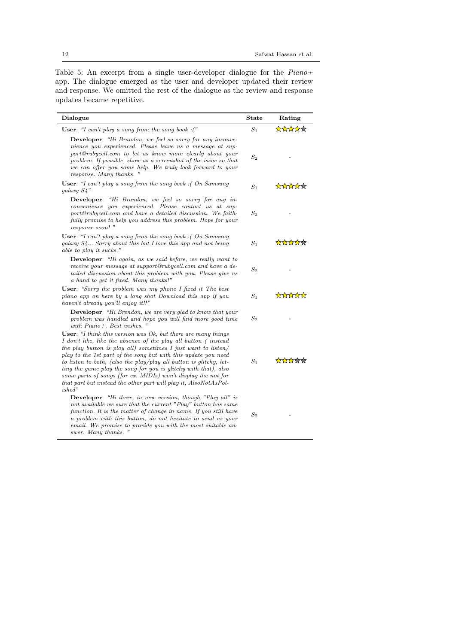<span id="page-11-0"></span>Table 5: An excerpt from a single user-developer dialogue for the  $Piano+$ app. The dialogue emerged as the user and developer updated their review and response. We omitted the rest of the dialogue as the review and response updates became repetitive.

| Dialogue                                                                                                                                                                                                                                                                                                                                                                                                                                                                                                                                                             | <b>State</b>   | Rating         |
|----------------------------------------------------------------------------------------------------------------------------------------------------------------------------------------------------------------------------------------------------------------------------------------------------------------------------------------------------------------------------------------------------------------------------------------------------------------------------------------------------------------------------------------------------------------------|----------------|----------------|
| <b>User:</b> "I can't play a song from the song book :("                                                                                                                                                                                                                                                                                                                                                                                                                                                                                                             | $S_1$          |                |
| <b>Developer:</b> "Hi Brandon, we feel so sorry for any inconve-<br>nience you experienced. Please leave us a message at sup-<br>port@rubycell.com to let us know more clearly about your<br>problem. If possible, show us a screenshot of the issue so that<br>we can offer you some help. We truly look forward to your<br>response. Many thanks."                                                                                                                                                                                                                 | $S_2$          |                |
| <b>User:</b> "I can't play a song from the song book : (On Samsung<br>$qalaxy\ S4"$                                                                                                                                                                                                                                                                                                                                                                                                                                                                                  | $S_1$          | *****          |
| <b>Developer:</b> "Hi Brandon, we feel so sorry for any in-<br>convenience you experienced. Please contact us at sup-<br>port@rubycell.com and have a detailed discussion. We faith-<br>fully promise to help you address this problem. Hope for your<br>response soon!"                                                                                                                                                                                                                                                                                             | $S_2$          |                |
| <b>User:</b> "I can't play a song from the song book : (On Samsung<br>$qalaxy\ S4$ Sorry about this but I love this app and not being<br>able to play it sucks."                                                                                                                                                                                                                                                                                                                                                                                                     | S <sub>1</sub> |                |
| <b>Developer:</b> "Hi again, as we said before, we really want to<br>receive your message at support@rubycell.com and have a de-<br>tailed discussion about this problem with you. Please give us<br>a hand to get it fixed. Many thanks!"                                                                                                                                                                                                                                                                                                                           | $S_2$          |                |
| <b>User:</b> "Sorry the problem was my phone I fixed it The best<br>piano app on here by a long shot Download this app if you<br>haven't already you'll enjoy it!!"                                                                                                                                                                                                                                                                                                                                                                                                  | $S_1$          |                |
| <b>Developer:</b> "Hi Brendon, we are very glad to know that your<br>problem was handled and hope you will find more good time<br>with $Piano+$ . Best wishes. "                                                                                                                                                                                                                                                                                                                                                                                                     | $S_2$          |                |
| <b>User:</b> "I think this version was $Ok$ , but there are many things<br>I don't like, like the absence of the play all button (instead<br>the play button is play all) sometimes I just want to listen/<br>play to the 1st part of the song but with this update you need<br>to listen to both, (also the play/play all button is glitchy, let-<br>ting the game play the song for you is glitchy with that), also<br>some parts of songs (for ex. MIDIs) won't display the not for<br>that part but instead the other part will play it, AlsoNotAsPol-<br>ished" | $S_1$          | <b>2727272</b> |
| <b>Developer:</b> "Hi there, in new version, though "Play all" is<br>not available we sure that the current "Play" button has same<br>function. It is the matter of change in name. If you still have<br>a problem with this button, do not hesitate to send us your<br>email. We promise to provide you with the most suitable an-<br>swer. Many thanks."                                                                                                                                                                                                           | $S_2$          |                |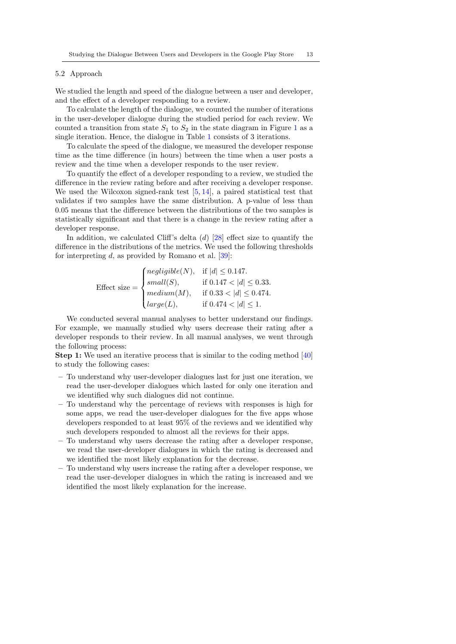#### 5.2 Approach

We studied the length and speed of the dialogue between a user and developer, and the effect of a developer responding to a review.

To calculate the length of the dialogue, we counted the number of iterations in the user-developer dialogue during the studied period for each review. We counted a transition from state  $S_1$  $S_1$  to  $S_2$  in the state diagram in Figure 1 as a single iteration. Hence, the dialogue in Table [1](#page-6-1) consists of 3 iterations.

To calculate the speed of the dialogue, we measured the developer response time as the time difference (in hours) between the time when a user posts a review and the time when a developer responds to the user review.

To quantify the effect of a developer responding to a review, we studied the difference in the review rating before and after receiving a developer response. We used the Wilcoxon signed-rank test [\[5,](#page-40-6) [14\]](#page-40-7), a paired statistical test that validates if two samples have the same distribution. A p-value of less than 0.05 means that the difference between the distributions of the two samples is statistically significant and that there is a change in the review rating after a developer response.

In addition, we calculated Cliff's delta  $(d)$  [\[28\]](#page-40-8) effect size to quantify the difference in the distributions of the metrics. We used the following thresholds for interpreting d, as provided by Romano et al. [\[39\]](#page-41-4):

$$
\text{Effect size} = \begin{cases} \text{negligible}(N), & \text{if } |d| \leq 0.147. \\ \text{small}(S), & \text{if } 0.147 < |d| \leq 0.33. \\ \text{medium}(M), & \text{if } 0.33 < |d| \leq 0.474. \\ \text{large}(L), & \text{if } 0.474 < |d| \leq 1. \end{cases}
$$

We conducted several manual analyses to better understand our findings. For example, we manually studied why users decrease their rating after a developer responds to their review. In all manual analyses, we went through the following process:

Step 1: We used an iterative process that is similar to the coding method [\[40\]](#page-41-5) to study the following cases:

- To understand why user-developer dialogues last for just one iteration, we read the user-developer dialogues which lasted for only one iteration and we identified why such dialogues did not continue.
- To understand why the percentage of reviews with responses is high for some apps, we read the user-developer dialogues for the five apps whose developers responded to at least 95% of the reviews and we identified why such developers responded to almost all the reviews for their apps.
- To understand why users decrease the rating after a developer response, we read the user-developer dialogues in which the rating is decreased and we identified the most likely explanation for the decrease.
- To understand why users increase the rating after a developer response, we read the user-developer dialogues in which the rating is increased and we identified the most likely explanation for the increase.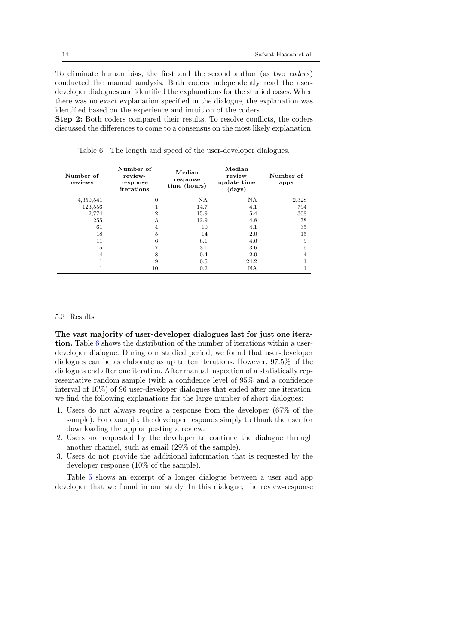To eliminate human bias, the first and the second author (as two coders) conducted the manual analysis. Both coders independently read the userdeveloper dialogues and identified the explanations for the studied cases. When there was no exact explanation specified in the dialogue, the explanation was identified based on the experience and intuition of the coders.

Step 2: Both coders compared their results. To resolve conflicts, the coders discussed the differences to come to a consensus on the most likely explanation.

<span id="page-13-0"></span>

| Number of<br>reviews | Number of<br>review-<br>response<br>iterations | Median<br>response<br>time (hours) | Median<br>review<br>update time<br>(days) | Number of<br>apps |
|----------------------|------------------------------------------------|------------------------------------|-------------------------------------------|-------------------|
| 4,350,541            | $\Omega$                                       | NA                                 | <b>NA</b>                                 | 2,328             |
| 123,556              |                                                | 14.7                               | 4.1                                       | 794               |
| 2,774                | 2                                              | 15.9                               | 5.4                                       | 308               |
| 255                  | 3                                              | 12.9                               | 4.8                                       | 78                |
| 61                   | 4                                              | 10                                 | 4.1                                       | 35                |
| 18                   | 5                                              | 14                                 | 2.0                                       | 15                |
| 11                   | 6                                              | 6.1                                | 4.6                                       | 9                 |
| 5                    |                                                | 3.1                                | 3.6                                       | 5                 |
| 4                    | 8                                              | 0.4                                | 2.0                                       | 4                 |
|                      | 9                                              | 0.5                                | 24.2                                      |                   |
|                      | 10                                             | 0.2                                | NA                                        |                   |

Table 6: The length and speed of the user-developer dialogues.

#### 5.3 Results

The vast majority of user-developer dialogues last for just one iteration. Table [6](#page-13-0) shows the distribution of the number of iterations within a userdeveloper dialogue. During our studied period, we found that user-developer dialogues can be as elaborate as up to ten iterations. However, 97.5% of the dialogues end after one iteration. After manual inspection of a statistically representative random sample (with a confidence level of 95% and a confidence interval of 10%) of 96 user-developer dialogues that ended after one iteration, we find the following explanations for the large number of short dialogues:

- 1. Users do not always require a response from the developer (67% of the sample). For example, the developer responds simply to thank the user for downloading the app or posting a review.
- 2. Users are requested by the developer to continue the dialogue through another channel, such as email (29% of the sample).
- 3. Users do not provide the additional information that is requested by the developer response (10% of the sample).

Table [5](#page-11-0) shows an excerpt of a longer dialogue between a user and app developer that we found in our study. In this dialogue, the review-response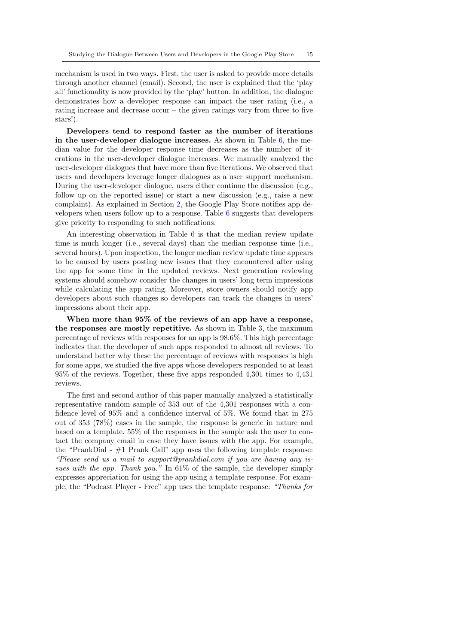mechanism is used in two ways. First, the user is asked to provide more details through another channel (email). Second, the user is explained that the 'play all' functionality is now provided by the 'play' button. In addition, the dialogue demonstrates how a developer response can impact the user rating (i.e., a rating increase and decrease occur – the given ratings vary from three to five stars!).

Developers tend to respond faster as the number of iterations in the user-developer dialogue increases. As shown in Table [6,](#page-13-0) the median value for the developer response time decreases as the number of iterations in the user-developer dialogue increases. We manually analyzed the user-developer dialogues that have more than five iterations. We observed that users and developers leverage longer dialogues as a user support mechanism. During the user-developer dialogue, users either continue the discussion (e.g., follow up on the reported issue) or start a new discussion (e.g., raise a new complaint). As explained in Section [2,](#page-4-0) the Google Play Store notifies app developers when users follow up to a response. Table [6](#page-13-0) suggests that developers give priority to responding to such notifications.

An interesting observation in Table [6](#page-13-0) is that the median review update time is much longer (i.e., several days) than the median response time (i.e., several hours). Upon inspection, the longer median review update time appears to be caused by users posting new issues that they encountered after using the app for some time in the updated reviews. Next generation reviewing systems should somehow consider the changes in users' long term impressions while calculating the app rating. Moreover, store owners should notify app developers about such changes so developers can track the changes in users' impressions about their app.

When more than 95% of the reviews of an app have a response, the responses are mostly repetitive. As shown in Table [3,](#page-8-2) the maximum percentage of reviews with responses for an app is 98.6%. This high percentage indicates that the developer of such apps responded to almost all reviews. To understand better why these the percentage of reviews with responses is high for some apps, we studied the five apps whose developers responded to at least 95% of the reviews. Together, these five apps responded 4,301 times to 4,431 reviews.

The first and second author of this paper manually analyzed a statistically representative random sample of 353 out of the 4,301 responses with a confidence level of 95% and a confidence interval of 5%. We found that in 275 out of 353 (78%) cases in the sample, the response is generic in nature and based on a template. 55% of the responses in the sample ask the user to contact the company email in case they have issues with the app. For example, the "PrankDial -  $#1$  Prank Call" app uses the following template response: "Please send us a mail to support@prankdial.com if you are having any issues with the app. Thank you." In 61% of the sample, the developer simply expresses appreciation for using the app using a template response. For example, the "Podcast Player - Free" app uses the template response: "Thanks for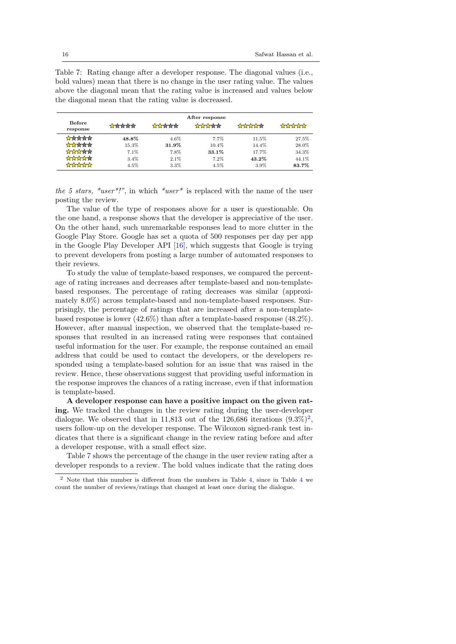<span id="page-15-1"></span>Table 7: Rating change after a developer response. The diagonal values (i.e., bold values) mean that there is no change in the user rating value. The values above the diagonal mean that the rating value is increased and values below the diagonal mean that the rating value is decreased.

|                           | After response                                                                                                                                                                                                                                                                                                      |         |         |       |       |  |
|---------------------------|---------------------------------------------------------------------------------------------------------------------------------------------------------------------------------------------------------------------------------------------------------------------------------------------------------------------|---------|---------|-------|-------|--|
| <b>Before</b><br>response | $\frac{1}{2}$ $\frac{1}{2}$ $\frac{1}{2}$ $\frac{1}{2}$ $\frac{1}{2}$ $\frac{1}{2}$ $\frac{1}{2}$ $\frac{1}{2}$ $\frac{1}{2}$ $\frac{1}{2}$ $\frac{1}{2}$ $\frac{1}{2}$ $\frac{1}{2}$ $\frac{1}{2}$ $\frac{1}{2}$ $\frac{1}{2}$ $\frac{1}{2}$ $\frac{1}{2}$ $\frac{1}{2}$ $\frac{1}{2}$ $\frac{1}{2}$ $\frac{1}{2}$ | *****   | *****   | ***** | ***** |  |
| $\frac{1}{2}$             | 48.8%                                                                                                                                                                                                                                                                                                               | $4.6\%$ | $7.7\%$ | 11.5% | 27.5% |  |
| *****                     | 15.3%                                                                                                                                                                                                                                                                                                               | 31.9%   | 10.4%   | 14.4% | 28.0% |  |
| $\frac{1}{2}$             | 7.1%                                                                                                                                                                                                                                                                                                                | 7.8%    | 33.1%   | 17.7% | 34.3% |  |
| *****                     | 3.4%                                                                                                                                                                                                                                                                                                                | 2.1%    | 7.2%    | 43.2% | 44.1% |  |
| *****                     | 4.5%                                                                                                                                                                                                                                                                                                                | 3.3%    | $4.5\%$ | 3.9%  | 83.7% |  |

the 5 stars, \*user\*!", in which \*user\* is replaced with the name of the user posting the review.

The value of the type of responses above for a user is questionable. On the one hand, a response shows that the developer is appreciative of the user. On the other hand, such unremarkable responses lead to more clutter in the Google Play Store. Google has set a quota of 500 responses per day per app in the Google Play Developer API [\[16\]](#page-40-2), which suggests that Google is trying to prevent developers from posting a large number of automated responses to their reviews.

To study the value of template-based responses, we compared the percentage of rating increases and decreases after template-based and non-templatebased responses. The percentage of rating decreases was similar (approximately 8.0%) across template-based and non-template-based responses. Surprisingly, the percentage of ratings that are increased after a non-templatebased response is lower (42.6%) than after a template-based response (48.2%). However, after manual inspection, we observed that the template-based responses that resulted in an increased rating were responses that contained useful information for the user. For example, the response contained an email address that could be used to contact the developers, or the developers responded using a template-based solution for an issue that was raised in the review. Hence, these observations suggest that providing useful information in the response improves the chances of a rating increase, even if that information is template-based.

A developer response can have a positive impact on the given rating. We tracked the changes in the review rating during the user-developer dialogue. We observed that in 11,813 out of the 1[2](#page-15-0)6,686 iterations  $(9.3\%)^2$ , users follow-up on the developer response. The Wilcoxon signed-rank test indicates that there is a significant change in the review rating before and after a developer response, with a small effect size.

Table [7](#page-15-1) shows the percentage of the change in the user review rating after a developer responds to a review. The bold values indicate that the rating does

<span id="page-15-0"></span><sup>2</sup> Note that this number is different from the numbers in Table [4,](#page-10-1) since in Table [4](#page-10-1) we count the number of reviews/ratings that changed at least once during the dialogue.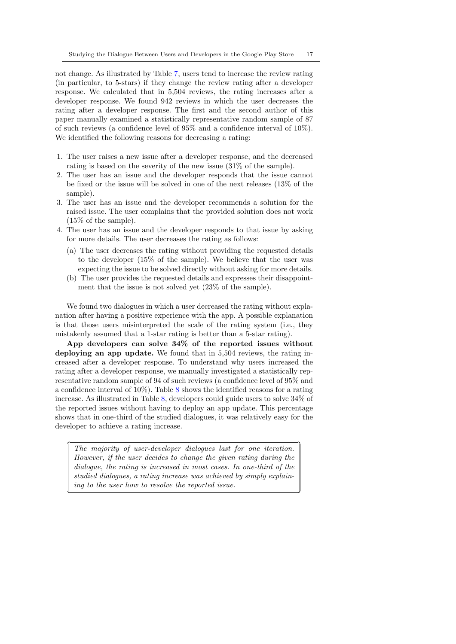not change. As illustrated by Table [7,](#page-15-1) users tend to increase the review rating (in particular, to 5-stars) if they change the review rating after a developer response. We calculated that in 5,504 reviews, the rating increases after a developer response. We found 942 reviews in which the user decreases the rating after a developer response. The first and the second author of this paper manually examined a statistically representative random sample of 87 of such reviews (a confidence level of 95% and a confidence interval of 10%). We identified the following reasons for decreasing a rating:

- 1. The user raises a new issue after a developer response, and the decreased rating is based on the severity of the new issue (31% of the sample).
- 2. The user has an issue and the developer responds that the issue cannot be fixed or the issue will be solved in one of the next releases (13% of the sample).
- 3. The user has an issue and the developer recommends a solution for the raised issue. The user complains that the provided solution does not work (15% of the sample).
- 4. The user has an issue and the developer responds to that issue by asking for more details. The user decreases the rating as follows:
	- (a) The user decreases the rating without providing the requested details to the developer (15% of the sample). We believe that the user was expecting the issue to be solved directly without asking for more details.
	- (b) The user provides the requested details and expresses their disappointment that the issue is not solved yet (23% of the sample).

We found two dialogues in which a user decreased the rating without explanation after having a positive experience with the app. A possible explanation is that those users misinterpreted the scale of the rating system (i.e., they mistakenly assumed that a 1-star rating is better than a 5-star rating).

App developers can solve 34% of the reported issues without deploying an app update. We found that in 5,504 reviews, the rating increased after a developer response. To understand why users increased the rating after a developer response, we manually investigated a statistically representative random sample of 94 of such reviews (a confidence level of 95% and a confidence interval of 10%). Table [8](#page-17-1) shows the identified reasons for a rating increase. As illustrated in Table [8,](#page-17-1) developers could guide users to solve 34% of the reported issues without having to deploy an app update. This percentage shows that in one-third of the studied dialogues, it was relatively easy for the developer to achieve a rating increase.

The majority of user-developer dialogues last for one iteration. However, if the user decides to change the given rating during the dialogue, the rating is increased in most cases. In one-third of the studied dialogues, a rating increase was achieved by simply explaining to the user how to resolve the reported issue.

Ĭ.

✁

✄

✂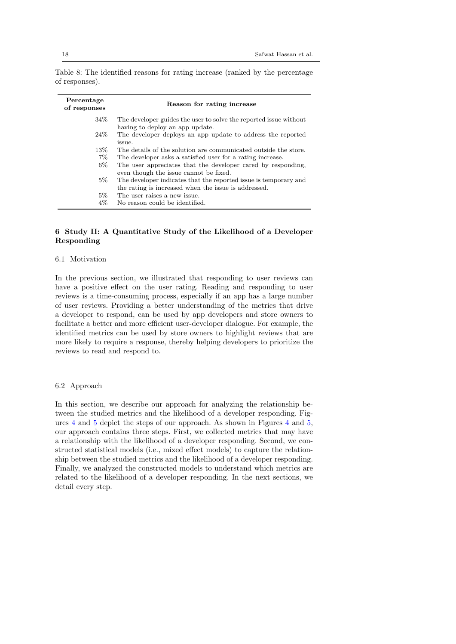| Percentage<br>of responses | Reason for rating increase                                        |
|----------------------------|-------------------------------------------------------------------|
| 34%                        | The developer guides the user to solve the reported issue without |
|                            | having to deploy an app update.                                   |
| 24\%                       | The developer deploys an app update to address the reported       |
|                            | issue.                                                            |
| $13\%$                     | The details of the solution are communicated outside the store.   |
| $7\%$                      | The developer asks a satisfied user for a rating increase.        |
| $6\%$                      | The user appreciates that the developer cared by responding,      |
|                            | even though the issue cannot be fixed.                            |
| $5\%$                      | The developer indicates that the reported issue is temporary and  |
|                            | the rating is increased when the issue is addressed.              |
| $5\%$                      | The user raises a new issue.                                      |
| $4\%$                      | No reason could be identified.                                    |

<span id="page-17-1"></span>Table 8: The identified reasons for rating increase (ranked by the percentage of responses).

## <span id="page-17-0"></span>6 Study II: A Quantitative Study of the Likelihood of a Developer Responding

#### 6.1 Motivation

In the previous section, we illustrated that responding to user reviews can have a positive effect on the user rating. Reading and responding to user reviews is a time-consuming process, especially if an app has a large number of user reviews. Providing a better understanding of the metrics that drive a developer to respond, can be used by app developers and store owners to facilitate a better and more efficient user-developer dialogue. For example, the identified metrics can be used by store owners to highlight reviews that are more likely to require a response, thereby helping developers to prioritize the reviews to read and respond to.

#### 6.2 Approach

In this section, we describe our approach for analyzing the relationship between the studied metrics and the likelihood of a developer responding. Figures [4](#page-18-0) and [5](#page-18-1) depict the steps of our approach. As shown in Figures [4](#page-18-0) and [5,](#page-18-1) our approach contains three steps. First, we collected metrics that may have a relationship with the likelihood of a developer responding. Second, we constructed statistical models (i.e., mixed effect models) to capture the relationship between the studied metrics and the likelihood of a developer responding. Finally, we analyzed the constructed models to understand which metrics are related to the likelihood of a developer responding. In the next sections, we detail every step.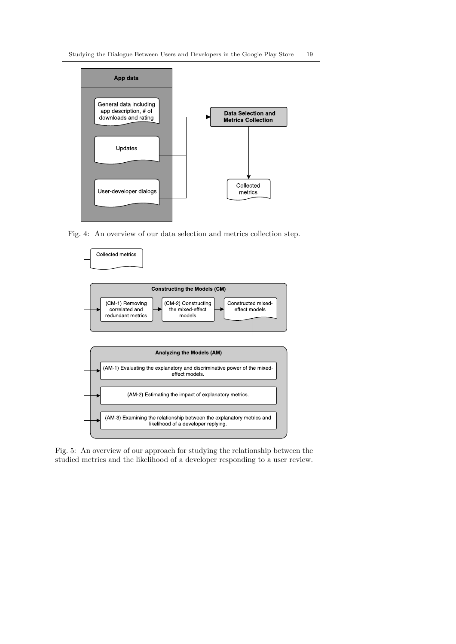<span id="page-18-0"></span>

<span id="page-18-1"></span>Fig. 4: An overview of our data selection and metrics collection step.



Fig. 5: An overview of our approach for studying the relationship between the studied metrics and the likelihood of a developer responding to a user review.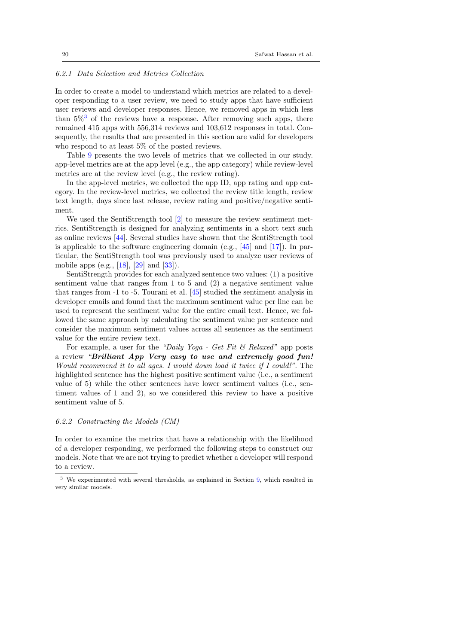### <span id="page-19-1"></span>6.2.1 Data Selection and Metrics Collection

In order to create a model to understand which metrics are related to a developer responding to a user review, we need to study apps that have sufficient user reviews and developer responses. Hence, we removed apps in which less than  $5\%$ <sup>[3](#page-19-0)</sup> of the reviews have a response. After removing such apps, there remained 415 apps with 556,314 reviews and 103,612 responses in total. Consequently, the results that are presented in this section are valid for developers who respond to at least 5% of the posted reviews.

Table [9](#page-20-0) presents the two levels of metrics that we collected in our study. app-level metrics are at the app level (e.g., the app category) while review-level metrics are at the review level (e.g., the review rating).

In the app-level metrics, we collected the app ID, app rating and app category. In the review-level metrics, we collected the review title length, review text length, days since last release, review rating and positive/negative sentiment.

We used the SentiStrength tool [\[2\]](#page-39-2) to measure the review sentiment metrics. SentiStrength is designed for analyzing sentiments in a short text such as online reviews [\[44\]](#page-41-6). Several studies have shown that the SentiStrength tool is applicable to the software engineering domain (e.g.,  $[45]$  and  $[17]$ ). In particular, the SentiStrength tool was previously used to analyze user reviews of mobile apps (e.g., [\[18\]](#page-40-10), [\[29\]](#page-41-3) and [\[33\]](#page-41-8)).

SentiStrength provides for each analyzed sentence two values: (1) a positive sentiment value that ranges from 1 to 5 and  $(2)$  a negative sentiment value that ranges from -1 to -5. Tourani et al. [\[45\]](#page-41-7) studied the sentiment analysis in developer emails and found that the maximum sentiment value per line can be used to represent the sentiment value for the entire email text. Hence, we followed the same approach by calculating the sentiment value per sentence and consider the maximum sentiment values across all sentences as the sentiment value for the entire review text.

For example, a user for the "Daily Yoga - Get Fit  $\mathcal B$  Relaxed" app posts a review "Brilliant App Very easy to use and extremely good fun! Would recommend it to all ages. I would down load it twice if I could!". The highlighted sentence has the highest positive sentiment value (i.e., a sentiment value of 5) while the other sentences have lower sentiment values (i.e., sentiment values of 1 and 2), so we considered this review to have a positive sentiment value of 5.

#### 6.2.2 Constructing the Models (CM)

In order to examine the metrics that have a relationship with the likelihood of a developer responding, we performed the following steps to construct our models. Note that we are not trying to predict whether a developer will respond to a review.

<span id="page-19-0"></span><sup>3</sup> We experimented with several thresholds, as explained in Section [9,](#page-35-0) which resulted in very similar models.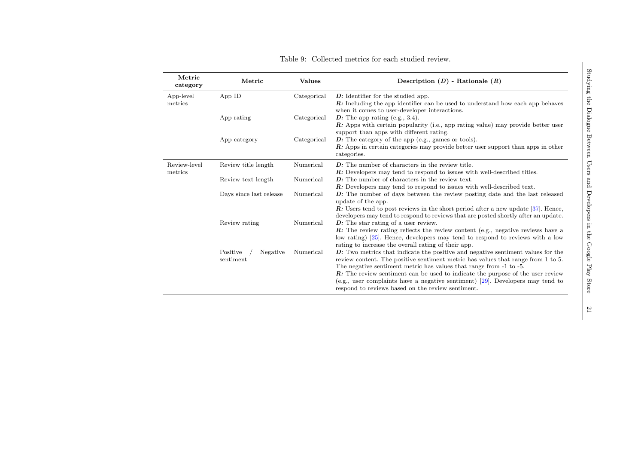<span id="page-20-0"></span>

| Metric<br>category      | Metric                            | <b>Values</b> | Description $(D)$ - Rationale $(R)$                                                                                                                                                                                                                                                                                                                                                                                                                                            |
|-------------------------|-----------------------------------|---------------|--------------------------------------------------------------------------------------------------------------------------------------------------------------------------------------------------------------------------------------------------------------------------------------------------------------------------------------------------------------------------------------------------------------------------------------------------------------------------------|
| App-level<br>metrics    | App ID                            | Categorical   | $D$ : Identifier for the studied app.<br><b>R</b> : Including the app identifier can be used to understand how each app behaves<br>when it comes to user-developer interactions.                                                                                                                                                                                                                                                                                               |
|                         | App rating                        | Categorical   | D: The app rating (e.g., 3.4).<br>$\mathbf{R}$ : Apps with certain popularity (i.e., app rating value) may provide better user<br>support than apps with different rating.                                                                                                                                                                                                                                                                                                     |
|                         | App category                      | Categorical   | $D:$ The category of the app (e.g., games or tools).<br>$\mathbf{R}$ : Apps in certain categories may provide better user support than apps in other<br>categories.                                                                                                                                                                                                                                                                                                            |
| Review-level<br>metrics | Review title length               | Numerical     | $D$ : The number of characters in the review title.<br>$\mathbf{R}$ : Developers may tend to respond to issues with well-described titles.                                                                                                                                                                                                                                                                                                                                     |
|                         | Review text length                | Numerical     | $D$ : The number of characters in the review text.<br>$\mathbb{R}$ : Developers may tend to respond to issues with well-described text.                                                                                                                                                                                                                                                                                                                                        |
|                         | Days since last release           | Numerical     | D: The number of days between the review posting date and the last released<br>update of the app.<br>$\mathbb{R}$ : Users tend to post reviews in the short period after a new update [37]. Hence,<br>developers may tend to respond to reviews that are posted shortly after an update.                                                                                                                                                                                       |
|                         | Review rating                     | Numerical     | $D$ : The star rating of a user review.<br>$\mathbf{R}$ : The review rating reflects the review content (e.g., negative reviews have a<br>low rating) [25]. Hence, developers may tend to respond to reviews with a low<br>rating to increase the overall rating of their app.                                                                                                                                                                                                 |
|                         | Positive<br>Negative<br>sentiment | Numerical     | D: Two metrics that indicate the positive and negative sentiment values for the<br>review content. The positive sentiment metric has values that range from 1 to 5.<br>The negative sentiment metric has values that range from -1 to -5.<br>$\mathbf{R}$ : The review sentiment can be used to indicate the purpose of the user review<br>(e.g., user complaints have a negative sentiment) [29]. Developers may tend to<br>respond to reviews based on the review sentiment. |

Table 9: Collected metrics for each studied review.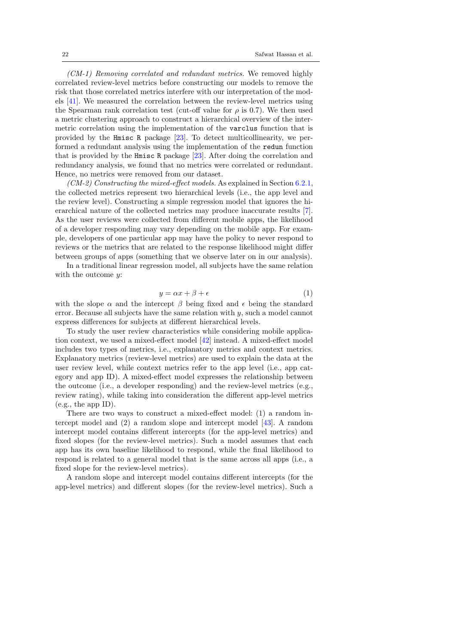(CM-1) Removing correlated and redundant metrics. We removed highly correlated review-level metrics before constructing our models to remove the risk that those correlated metrics interfere with our interpretation of the models [\[41\]](#page-41-11). We measured the correlation between the review-level metrics using the Spearman rank correlation test (cut-off value for  $\rho$  is 0.7). We then used a metric clustering approach to construct a hierarchical overview of the intermetric correlation using the implementation of the varclus function that is provided by the Hmisc R package [\[23\]](#page-40-12). To detect multicollinearity, we performed a redundant analysis using the implementation of the redun function that is provided by the Hmisc R package [\[23\]](#page-40-12). After doing the correlation and redundancy analysis, we found that no metrics were correlated or redundant. Hence, no metrics were removed from our dataset.

 $(CM-2)$  Constructing the mixed-effect models. As explained in Section [6.2.1,](#page-19-1) the collected metrics represent two hierarchical levels (i.e., the app level and the review level). Constructing a simple regression model that ignores the hierarchical nature of the collected metrics may produce inaccurate results [\[7\]](#page-40-13). As the user reviews were collected from different mobile apps, the likelihood of a developer responding may vary depending on the mobile app. For example, developers of one particular app may have the policy to never respond to reviews or the metrics that are related to the response likelihood might differ between groups of apps (something that we observe later on in our analysis).

In a traditional linear regression model, all subjects have the same relation with the outcome *:* 

$$
y = \alpha x + \beta + \epsilon \tag{1}
$$

with the slope  $\alpha$  and the intercept  $\beta$  being fixed and  $\epsilon$  being the standard error. Because all subjects have the same relation with y, such a model cannot express differences for subjects at different hierarchical levels.

To study the user review characteristics while considering mobile application context, we used a mixed-effect model [\[42\]](#page-41-12) instead. A mixed-effect model includes two types of metrics, i.e., explanatory metrics and context metrics. Explanatory metrics (review-level metrics) are used to explain the data at the user review level, while context metrics refer to the app level (i.e., app category and app ID). A mixed-effect model expresses the relationship between the outcome (i.e., a developer responding) and the review-level metrics (e.g., review rating), while taking into consideration the different app-level metrics (e.g., the app ID).

There are two ways to construct a mixed-effect model: (1) a random intercept model and (2) a random slope and intercept model [\[43\]](#page-41-13). A random intercept model contains different intercepts (for the app-level metrics) and fixed slopes (for the review-level metrics). Such a model assumes that each app has its own baseline likelihood to respond, while the final likelihood to respond is related to a general model that is the same across all apps (i.e., a fixed slope for the review-level metrics).

A random slope and intercept model contains different intercepts (for the app-level metrics) and different slopes (for the review-level metrics). Such a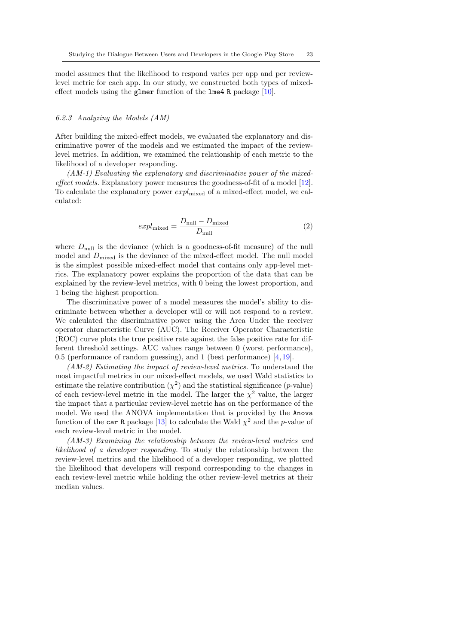model assumes that the likelihood to respond varies per app and per reviewlevel metric for each app. In our study, we constructed both types of mixedeffect models using the glmer function of the lme4 R package [\[10\]](#page-40-14).

#### 6.2.3 Analyzing the Models (AM)

After building the mixed-effect models, we evaluated the explanatory and discriminative power of the models and we estimated the impact of the reviewlevel metrics. In addition, we examined the relationship of each metric to the likelihood of a developer responding.

(AM-1) Evaluating the explanatory and discriminative power of the mixedeffect models. Explanatory power measures the goodness-of-fit of a model [\[12\]](#page-40-15). To calculate the explanatory power  $expl<sub>mixed</sub>$  of a mixed-effect model, we calculated:

$$
expl_{\text{mixed}} = \frac{D_{\text{null}} - D_{\text{mixed}}}{D_{\text{null}}}
$$
\n(2)

where  $D_{\text{null}}$  is the deviance (which is a goodness-of-fit measure) of the null model and  $D<sub>mixed</sub>$  is the deviance of the mixed-effect model. The null model is the simplest possible mixed-effect model that contains only app-level metrics. The explanatory power explains the proportion of the data that can be explained by the review-level metrics, with 0 being the lowest proportion, and 1 being the highest proportion.

The discriminative power of a model measures the model's ability to discriminate between whether a developer will or will not respond to a review. We calculated the discriminative power using the Area Under the receiver operator characteristic Curve (AUC). The Receiver Operator Characteristic (ROC) curve plots the true positive rate against the false positive rate for different threshold settings. AUC values range between 0 (worst performance), 0.5 (performance of random guessing), and 1 (best performance) [\[4,](#page-40-16) [19\]](#page-40-17).

(AM-2) Estimating the impact of review-level metrics. To understand the most impactful metrics in our mixed-effect models, we used Wald statistics to estimate the relative contribution  $(\chi^2)$  and the statistical significance (*p*-value) of each review-level metric in the model. The larger the  $\chi^2$  value, the larger the impact that a particular review-level metric has on the performance of the model. We used the ANOVA implementation that is provided by the Anova function of the car R package [\[13\]](#page-40-18) to calculate the Wald  $\chi^2$  and the *p*-value of each review-level metric in the model.

(AM-3) Examining the relationship between the review-level metrics and likelihood of a developer responding. To study the relationship between the review-level metrics and the likelihood of a developer responding, we plotted the likelihood that developers will respond corresponding to the changes in each review-level metric while holding the other review-level metrics at their median values.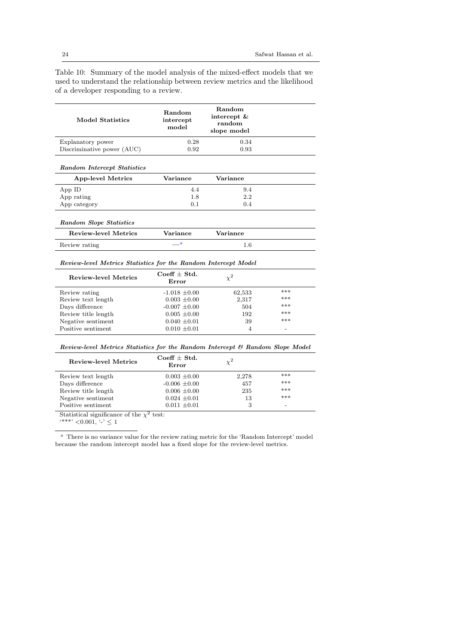<span id="page-23-1"></span>Table 10: Summary of the model analysis of the mixed-effect models that we used to understand the relationship between review metrics and the likelihood of a developer responding to a review.

| Model Statistics           | Random<br>intercept<br>model | Random<br>intercept $\&$<br>random<br>slope model |  |
|----------------------------|------------------------------|---------------------------------------------------|--|
| Explanatory power          | 0.28                         | 0.34                                              |  |
| Discriminative power (AUC) | 0.92                         | 0.93                                              |  |

| Random Intercept Statistics |          |          |  |  |
|-----------------------------|----------|----------|--|--|
| <b>App-level Metrics</b>    | Variance | Variance |  |  |
| App ID                      | 4.4      | 9.4      |  |  |
| App rating                  | 1.8      | 2.2      |  |  |
| App category                | 0.1      | (0.4)    |  |  |

Random Slope Statistics

| Review-level Metrics | Variance | Variance |  |
|----------------------|----------|----------|--|
| Review rating        |          |          |  |

Review-level Metrics Statistics for the Random Intercept Model

| Review-level Metrics | $Coeff \pm Std.$<br>Error | $\chi^2$ |     |
|----------------------|---------------------------|----------|-----|
| Review rating        | $-1.018 \pm 0.00$         | 62,533   | *** |
| Review text length   | $0.003 \pm 0.00$          | 2,317    | *** |
| Days difference      | $-0.007 \pm 0.00$         | 504      | *** |
| Review title length  | $0.005 \pm 0.00$          | 192      | *** |
| Negative sentiment   | $0.040 \pm 0.01$          | 39       | *** |
| Positive sentiment   | $0.010 \pm 0.01$          | 4        |     |

| Review-level Metrics Statistics for the Random Intercept & Random Slope Model |  |  |  |  |  |  |  |
|-------------------------------------------------------------------------------|--|--|--|--|--|--|--|
|-------------------------------------------------------------------------------|--|--|--|--|--|--|--|

| Review-level Metrics                                                                                                                                                                                                                                                                                                                                                                | $Coeff \pm Std.$<br>Error | $\chi^2$ |                          |  |
|-------------------------------------------------------------------------------------------------------------------------------------------------------------------------------------------------------------------------------------------------------------------------------------------------------------------------------------------------------------------------------------|---------------------------|----------|--------------------------|--|
| Review text length                                                                                                                                                                                                                                                                                                                                                                  | $0.003 \pm 0.00$          | 2,278    | ***                      |  |
| Days difference                                                                                                                                                                                                                                                                                                                                                                     | $-0.006 \pm 0.00$         | 457      | ***                      |  |
| Review title length                                                                                                                                                                                                                                                                                                                                                                 | $0.006 \pm 0.00$          | 235      | ***                      |  |
| Negative sentiment                                                                                                                                                                                                                                                                                                                                                                  | $0.024 \pm 0.01$          | 13       | ***                      |  |
| Positive sentiment                                                                                                                                                                                                                                                                                                                                                                  | $0.011 \pm 0.01$          | 3        | $\overline{\phantom{0}}$ |  |
| $\alpha$ , $\beta$ , $\beta$ , $\alpha$ , $\beta$ , $\beta$ , $\beta$ , $\beta$ , $\beta$ , $\beta$ , $\beta$ , $\beta$ , $\beta$ , $\beta$ , $\beta$ , $\beta$ , $\beta$ , $\beta$ , $\beta$ , $\beta$ , $\beta$ , $\beta$ , $\beta$ , $\beta$ , $\beta$ , $\beta$ , $\beta$ , $\beta$ , $\beta$ , $\beta$ , $\beta$ , $\beta$ , $\beta$ , $\beta$ , $\beta$ , $\beta$ , $\beta$ , |                           |          |                          |  |

Statistical significance of the  $\chi^2$  test:

 $(***^{\ast}$ , <0.001,  $\cdot$  '  $\leq$  1

<span id="page-23-0"></span> $\emph{a}~$  There is no variance value for the review rating metric for the 'Random Intercept' model because the random intercept model has a fixed slope for the review-level metrics.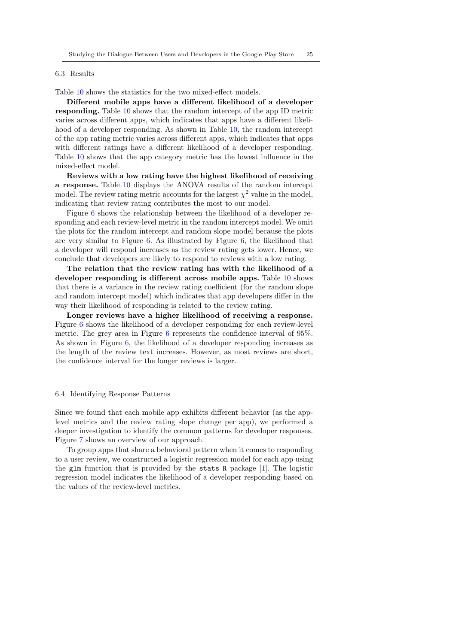### <span id="page-24-0"></span>6.3 Results

Table [10](#page-23-1) shows the statistics for the two mixed-effect models.

Different mobile apps have a different likelihood of a developer responding. Table [10](#page-23-1) shows that the random intercept of the app ID metric varies across different apps, which indicates that apps have a different likelihood of a developer responding. As shown in Table [10,](#page-23-1) the random intercept of the app rating metric varies across different apps, which indicates that apps with different ratings have a different likelihood of a developer responding. Table [10](#page-23-1) shows that the app category metric has the lowest influence in the mixed-effect model.

Reviews with a low rating have the highest likelihood of receiving a response. Table [10](#page-23-1) displays the ANOVA results of the random intercept model. The review rating metric accounts for the largest  $\chi^2$  value in the model, indicating that review rating contributes the most to our model.

Figure [6](#page-25-0) shows the relationship between the likelihood of a developer responding and each review-level metric in the random intercept model. We omit the plots for the random intercept and random slope model because the plots are very similar to Figure  $6$ . As illustrated by Figure  $6$ , the likelihood that a developer will respond increases as the review rating gets lower. Hence, we conclude that developers are likely to respond to reviews with a low rating.

The relation that the review rating has with the likelihood of a developer responding is different across mobile apps. Table [10](#page-23-1) shows that there is a variance in the review rating coefficient (for the random slope and random intercept model) which indicates that app developers differ in the way their likelihood of responding is related to the review rating.

Longer reviews have a higher likelihood of receiving a response. Figure [6](#page-25-0) shows the likelihood of a developer responding for each review-level metric. The grey area in Figure [6](#page-25-0) represents the confidence interval of 95%. As shown in Figure [6,](#page-25-0) the likelihood of a developer responding increases as the length of the review text increases. However, as most reviews are short, the confidence interval for the longer reviews is larger.

#### 6.4 Identifying Response Patterns

Since we found that each mobile app exhibits different behavior (as the applevel metrics and the review rating slope change per app), we performed a deeper investigation to identify the common patterns for developer responses. Figure [7](#page-26-0) shows an overview of our approach.

To group apps that share a behavioral pattern when it comes to responding to a user review, we constructed a logistic regression model for each app using the glm function that is provided by the stats R package [\[1\]](#page-39-3). The logistic regression model indicates the likelihood of a developer responding based on the values of the review-level metrics.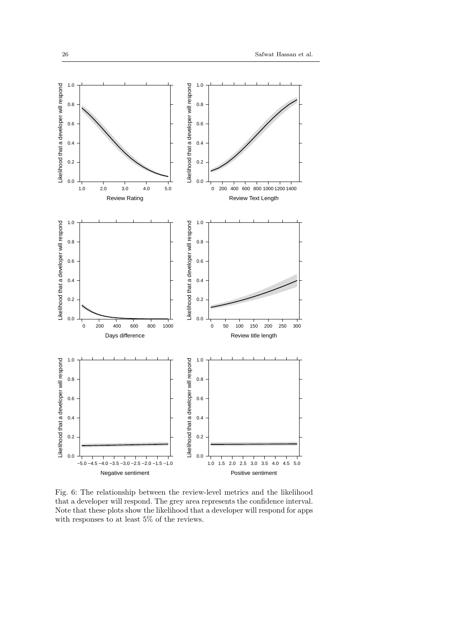<span id="page-25-0"></span>

Fig. 6: The relationship between the review-level metrics and the likelihood that a developer will respond. The grey area represents the confidence interval. Note that these plots show the likelihood that a developer will respond for apps with responses to at least 5% of the reviews.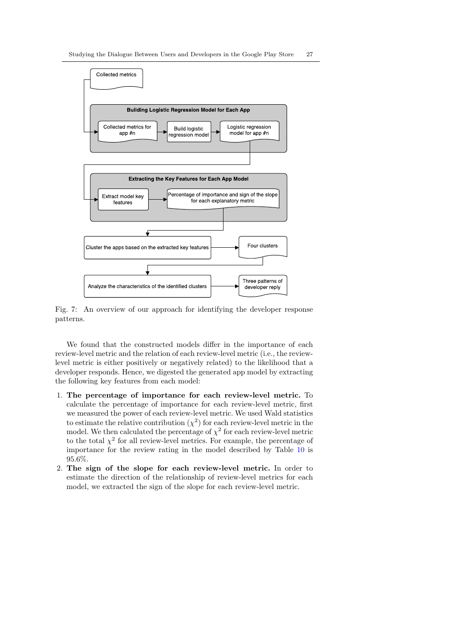<span id="page-26-0"></span>

Fig. 7: An overview of our approach for identifying the developer response patterns.

We found that the constructed models differ in the importance of each review-level metric and the relation of each review-level metric (i.e., the reviewlevel metric is either positively or negatively related) to the likelihood that a developer responds. Hence, we digested the generated app model by extracting the following key features from each model:

- 1. The percentage of importance for each review-level metric. To calculate the percentage of importance for each review-level metric, first we measured the power of each review-level metric. We used Wald statistics to estimate the relative contribution  $(\chi^2)$  for each review-level metric in the model. We then calculated the percentage of  $\chi^2$  for each review-level metric to the total  $\chi^2$  for all review-level metrics. For example, the percentage of importance for the review rating in the model described by Table [10](#page-23-1) is 95.6%.
- 2. The sign of the slope for each review-level metric. In order to estimate the direction of the relationship of review-level metrics for each model, we extracted the sign of the slope for each review-level metric.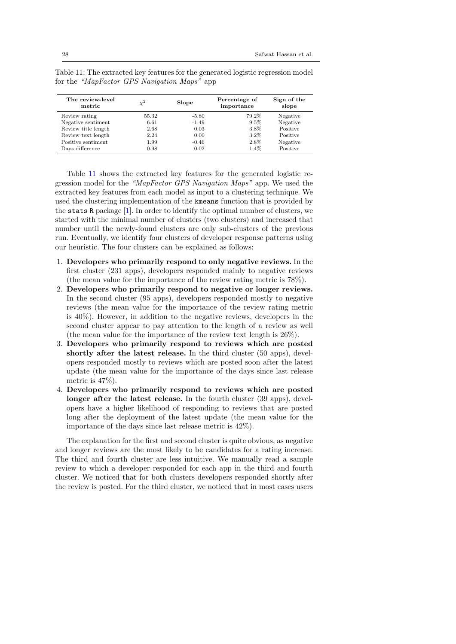| The review-level<br>metric |       | Slope   | Percentage of<br>importance | Sign of the<br>slope |
|----------------------------|-------|---------|-----------------------------|----------------------|
| Review rating              | 55.32 | $-5.80$ | 79.2%                       | Negative             |
| Negative sentiment         | 6.61  | $-1.49$ | $9.5\%$                     | Negative             |
| Review title length        | 2.68  | 0.03    | $3.8\%$                     | Positive             |
| Review text length         | 2.24  | 0.00    | 3.2%                        | Positive             |
| Positive sentiment         | 1.99  | $-0.46$ | $2.8\%$                     | Negative             |
| Days difference            | 0.98  | 0.02    | $1.4\%$                     | Positive             |

<span id="page-27-0"></span>Table 11: The extracted key features for the generated logistic regression model for the "MapFactor GPS Navigation Maps" app

Table [11](#page-27-0) shows the extracted key features for the generated logistic regression model for the "MapFactor GPS Navigation Maps" app. We used the extracted key features from each model as input to a clustering technique. We used the clustering implementation of the kmeans function that is provided by the stats R package  $[1]$ . In order to identify the optimal number of clusters, we started with the minimal number of clusters (two clusters) and increased that number until the newly-found clusters are only sub-clusters of the previous run. Eventually, we identify four clusters of developer response patterns using our heuristic. The four clusters can be explained as follows:

- 1. Developers who primarily respond to only negative reviews. In the first cluster (231 apps), developers responded mainly to negative reviews (the mean value for the importance of the review rating metric is 78%).
- 2. Developers who primarily respond to negative or longer reviews. In the second cluster (95 apps), developers responded mostly to negative reviews (the mean value for the importance of the review rating metric is 40%). However, in addition to the negative reviews, developers in the second cluster appear to pay attention to the length of a review as well (the mean value for the importance of the review text length is 26%).
- 3. Developers who primarily respond to reviews which are posted shortly after the latest release. In the third cluster (50 apps), developers responded mostly to reviews which are posted soon after the latest update (the mean value for the importance of the days since last release metric is 47%).
- 4. Developers who primarily respond to reviews which are posted longer after the latest release. In the fourth cluster (39 apps), developers have a higher likelihood of responding to reviews that are posted long after the deployment of the latest update (the mean value for the importance of the days since last release metric is 42%).

The explanation for the first and second cluster is quite obvious, as negative and longer reviews are the most likely to be candidates for a rating increase. The third and fourth cluster are less intuitive. We manually read a sample review to which a developer responded for each app in the third and fourth cluster. We noticed that for both clusters developers responded shortly after the review is posted. For the third cluster, we noticed that in most cases users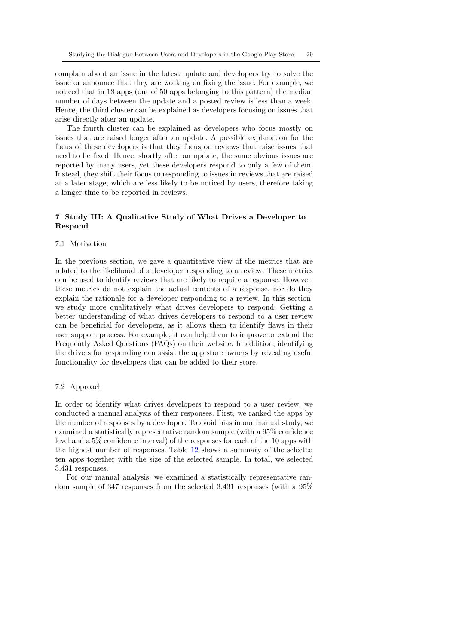complain about an issue in the latest update and developers try to solve the issue or announce that they are working on fixing the issue. For example, we noticed that in 18 apps (out of 50 apps belonging to this pattern) the median number of days between the update and a posted review is less than a week. Hence, the third cluster can be explained as developers focusing on issues that arise directly after an update.

The fourth cluster can be explained as developers who focus mostly on issues that are raised longer after an update. A possible explanation for the focus of these developers is that they focus on reviews that raise issues that need to be fixed. Hence, shortly after an update, the same obvious issues are reported by many users, yet these developers respond to only a few of them. Instead, they shift their focus to responding to issues in reviews that are raised at a later stage, which are less likely to be noticed by users, therefore taking a longer time to be reported in reviews.

## <span id="page-28-0"></span>7 Study III: A Qualitative Study of What Drives a Developer to Respond

#### 7.1 Motivation

In the previous section, we gave a quantitative view of the metrics that are related to the likelihood of a developer responding to a review. These metrics can be used to identify reviews that are likely to require a response. However, these metrics do not explain the actual contents of a response, nor do they explain the rationale for a developer responding to a review. In this section, we study more qualitatively what drives developers to respond. Getting a better understanding of what drives developers to respond to a user review can be beneficial for developers, as it allows them to identify flaws in their user support process. For example, it can help them to improve or extend the Frequently Asked Questions (FAQs) on their website. In addition, identifying the drivers for responding can assist the app store owners by revealing useful functionality for developers that can be added to their store.

### 7.2 Approach

In order to identify what drives developers to respond to a user review, we conducted a manual analysis of their responses. First, we ranked the apps by the number of responses by a developer. To avoid bias in our manual study, we examined a statistically representative random sample (with a 95% confidence level and a 5% confidence interval) of the responses for each of the 10 apps with the highest number of responses. Table [12](#page-29-0) shows a summary of the selected ten apps together with the size of the selected sample. In total, we selected 3,431 responses.

For our manual analysis, we examined a statistically representative random sample of 347 responses from the selected 3,431 responses (with a 95%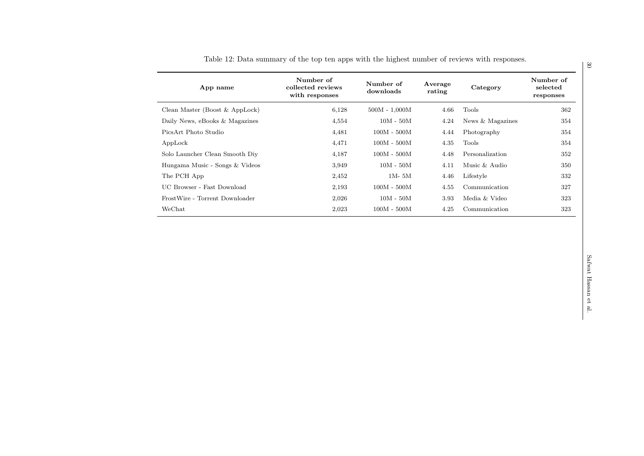|                                                      | Number of<br>collected reviews<br>with responses | Number of<br>downloads            | Average<br>rating | Category         | Number of<br>selected<br>responses |
|------------------------------------------------------|--------------------------------------------------|-----------------------------------|-------------------|------------------|------------------------------------|
| Clean Master (Boost & AppLock)                       | 6,128                                            | $500M - 1,000M$                   | 4.66              | Tools            | 362                                |
| Daily News, eBooks & Magazines                       | 4,554                                            | $10M - 50M$                       | 4.24              | News & Magazines | 354                                |
| PicsArt Photo Studio                                 | 4,481                                            | $100\mathrm{M}$ - $500\mathrm{M}$ | 4.44              | Photography      | 354                                |
| AppLock                                              | 4,471                                            | $100M - 500M$                     | 4.35              | Tools            | 354                                |
| Solo Launcher Clean Smooth Diy                       | 4,187                                            | $100M - 500M$                     | 4.48              | Personalization  | 352                                |
| Hungama Music - Songs & Videos                       | 3,949                                            | $10M - 50M$                       | 4.11              | Music & Audio    | 350                                |
| The PCH App                                          | 2,452                                            | $1M - 5M$                         | 4.46              | Lifestyle        | 332                                |
| UC Browser - Fast Download                           | 2,193                                            | $100M - 500M$                     | 4.55              | Communication    | 327                                |
| $\textsc{FrostWire}$ - $\textsc{Torrent}$ Downloader | 2,026                                            | $10\mathrm{M}$ - $50\mathrm{M}$   | 3.93              | Media & Video    | 323                                |
| WeChat                                               | 2,023                                            | $100\mathrm{M}$ - $500\mathrm{M}$ | 4.25              | Communication    | 323                                |

<span id="page-29-0"></span>Table 12: Data summary of the top ten apps with the highest number of reviews with responses.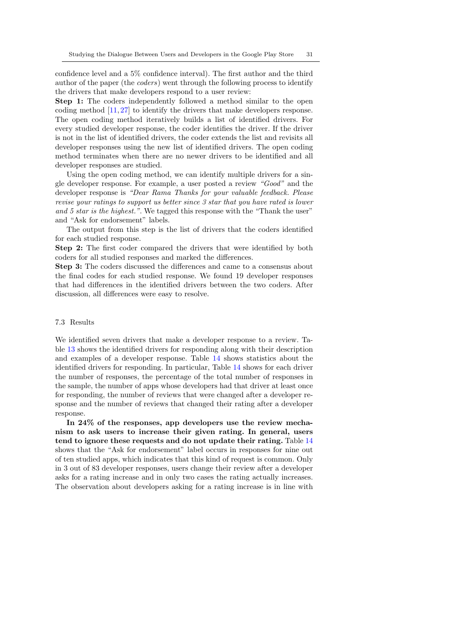confidence level and a 5% confidence interval). The first author and the third author of the paper (the coders) went through the following process to identify the drivers that make developers respond to a user review:

Step 1: The coders independently followed a method similar to the open coding method [\[11,](#page-40-19) [27\]](#page-40-20) to identify the drivers that make developers response. The open coding method iteratively builds a list of identified drivers. For every studied developer response, the coder identifies the driver. If the driver is not in the list of identified drivers, the coder extends the list and revisits all developer responses using the new list of identified drivers. The open coding method terminates when there are no newer drivers to be identified and all developer responses are studied.

Using the open coding method, we can identify multiple drivers for a single developer response. For example, a user posted a review "Good" and the developer response is "Dear Rama Thanks for your valuable feedback. Please revise your ratings to support us better since 3 star that you have rated is lower and 5 star is the highest.". We tagged this response with the "Thank the user" and "Ask for endorsement" labels.

The output from this step is the list of drivers that the coders identified for each studied response.

Step 2: The first coder compared the drivers that were identified by both coders for all studied responses and marked the differences.

Step 3: The coders discussed the differences and came to a consensus about the final codes for each studied response. We found 19 developer responses that had differences in the identified drivers between the two coders. After discussion, all differences were easy to resolve.

## 7.3 Results

We identified seven drivers that make a developer response to a review. Table [13](#page-31-0) shows the identified drivers for responding along with their description and examples of a developer response. Table [14](#page-32-0) shows statistics about the identified drivers for responding. In particular, Table [14](#page-32-0) shows for each driver the number of responses, the percentage of the total number of responses in the sample, the number of apps whose developers had that driver at least once for responding, the number of reviews that were changed after a developer response and the number of reviews that changed their rating after a developer response.

In 24% of the responses, app developers use the review mechanism to ask users to increase their given rating. In general, users tend to ignore these requests and do not update their rating. Table [14](#page-32-0) shows that the "Ask for endorsement" label occurs in responses for nine out of ten studied apps, which indicates that this kind of request is common. Only in 3 out of 83 developer responses, users change their review after a developer asks for a rating increase and in only two cases the rating actually increases. The observation about developers asking for a rating increase is in line with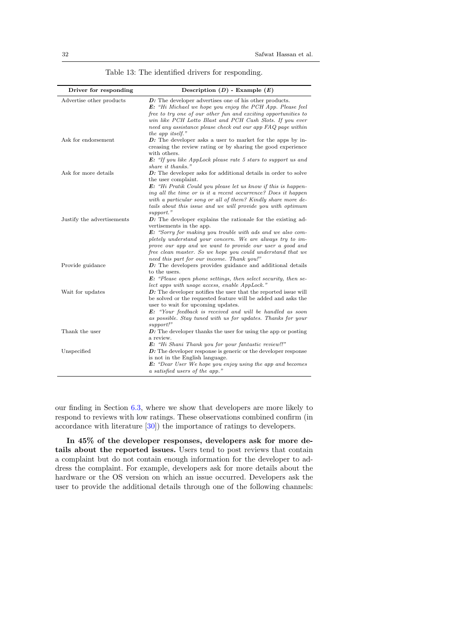<span id="page-31-0"></span>

| Driver for responding      | Description $(D)$ - Example $(E)$                                                                                                                                                                                                                                                                                                                                                                             |
|----------------------------|---------------------------------------------------------------------------------------------------------------------------------------------------------------------------------------------------------------------------------------------------------------------------------------------------------------------------------------------------------------------------------------------------------------|
| Advertise other products   | $D$ : The developer advertises one of his other products.<br><b>E:</b> "Hi Michael we hope you enjoy the PCH App. Please feel<br>free to try one of our other fun and exciting opportunities to<br>win like PCH Lotto Blast and PCH Cash Slots. If you ever<br>need any assistance please check out our app FAQ page within<br>the app itself."                                                               |
| Ask for endorsement        | $D$ : The developer asks a user to market for the apps by in-<br>creasing the review rating or by sharing the good experience<br>with others.<br><b>E:</b> "If you like AppLock please rate 5 stars to support us and<br>share it thanks."                                                                                                                                                                    |
| Ask for more details       | $D$ : The developer asks for additional details in order to solve<br>the user complaint.<br>$E:$ "Hi Pratik Could you please let us know if this is happen-<br>ing all the time or is it a recent occurrence? Does it happen<br>with a particular song or all of them? Kindly share more de-<br>tails about this issue and we will provide you with optimum                                                   |
| Justify the advertisements | support."<br>$D$ : The developer explains the rationale for the existing ad-<br>vertisements in the app.<br>$E:$ "Sorry for making you trouble with ads and we also com-<br>pletely understand your concern. We are always try to im-<br>prove our app and we want to provide our user a good and<br>free clean master. So we hope you could understand that we<br>need this part for our income. Thank you!" |
| Provide guidance           | $D$ : The developers provides guidance and additional details<br>to the users.<br>E: "Please open phone settings, then select security, then se-<br>lect apps with usage access, enable AppLock."                                                                                                                                                                                                             |
| Wait for updates           | $D$ : The developer notifies the user that the reported issue will<br>be solved or the requested feature will be added and asks the<br>user to wait for upcoming updates.<br>E: "Your feedback is received and will be handled as soon<br>as possible. Stay tuned with us for updates. Thanks for your<br>$support!$ "                                                                                        |
| Thank the user             | $D$ : The developer thanks the user for using the app or posting<br>a review.<br><b>E:</b> "Hi Shani Thank you for your fantastic review!!"                                                                                                                                                                                                                                                                   |
| Unspecified                | $D$ : The developer response is generic or the developer response<br>is not in the English language.<br>$E:$ "Dear User We hope you enjoy using the app and becomes<br>a satisfied users of the app."                                                                                                                                                                                                         |

Table 13: The identified drivers for responding.

our finding in Section [6.3,](#page-24-0) where we show that developers are more likely to respond to reviews with low ratings. These observations combined confirm (in accordance with literature [\[30\]](#page-41-0)) the importance of ratings to developers.

In 45% of the developer responses, developers ask for more details about the reported issues. Users tend to post reviews that contain a complaint but do not contain enough information for the developer to address the complaint. For example, developers ask for more details about the hardware or the OS version on which an issue occurred. Developers ask the user to provide the additional details through one of the following channels: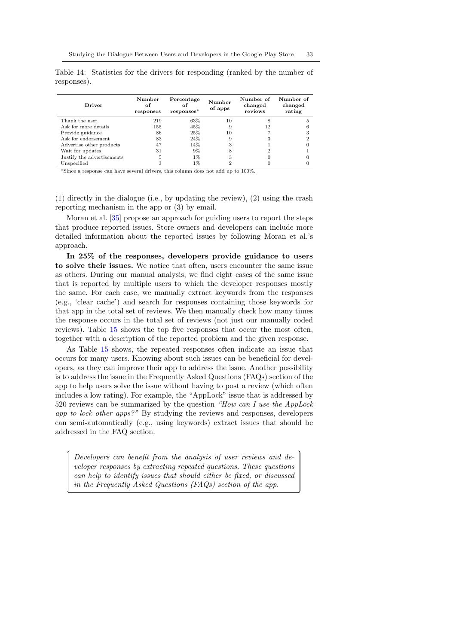| Driver                     | Number<br>of<br>responses | Percentage<br>οf<br>$responents*$ | Number<br>of apps | Number of<br>changed<br>reviews | Number of<br>changed<br>rating |
|----------------------------|---------------------------|-----------------------------------|-------------------|---------------------------------|--------------------------------|
| Thank the user             | 219                       | 63%                               | 10                | 8                               |                                |
| Ask for more details       | 155                       | 45%                               |                   |                                 |                                |
| Provide guidance           | 86                        | 25%                               | 10                |                                 |                                |
| Ask for endorsement        | 83                        | 24%                               |                   |                                 |                                |
| Advertise other products   | 47                        | 14%                               |                   |                                 |                                |
| Wait for updates           | 31                        | $9\%$                             |                   |                                 |                                |
| Justify the advertisements | h                         | $1\%$                             |                   |                                 |                                |
| Unspecified                |                           | 1%                                |                   |                                 |                                |

<span id="page-32-0"></span>Table 14: Statistics for the drivers for responding (ranked by the number of responses).

<sup>∗</sup>Since a response can have several drivers, this column does not add up to 100%.

(1) directly in the dialogue (i.e., by updating the review), (2) using the crash reporting mechanism in the app or (3) by email.

Moran et al. [\[35\]](#page-41-14) propose an approach for guiding users to report the steps that produce reported issues. Store owners and developers can include more detailed information about the reported issues by following Moran et al.'s approach.

In 25% of the responses, developers provide guidance to users to solve their issues. We notice that often, users encounter the same issue as others. During our manual analysis, we find eight cases of the same issue that is reported by multiple users to which the developer responses mostly the same. For each case, we manually extract keywords from the responses (e.g., 'clear cache') and search for responses containing those keywords for that app in the total set of reviews. We then manually check how many times the response occurs in the total set of reviews (not just our manually coded reviews). Table [15](#page-33-1) shows the top five responses that occur the most often, together with a description of the reported problem and the given response.

As Table [15](#page-33-1) shows, the repeated responses often indicate an issue that occurs for many users. Knowing about such issues can be beneficial for developers, as they can improve their app to address the issue. Another possibility is to address the issue in the Frequently Asked Questions (FAQs) section of the app to help users solve the issue without having to post a review (which often includes a low rating). For example, the "AppLock" issue that is addressed by 520 reviews can be summarized by the question "How can I use the AppLock app to lock other apps?" By studying the reviews and responses, developers can semi-automatically (e.g., using keywords) extract issues that should be addressed in the FAQ section.

Developers can benefit from the analysis of user reviews and developer responses by extracting repeated questions. These questions can help to identify issues that should either be fixed, or discussed in the Frequently Asked Questions (FAQs) section of the app.

<sup>1</sup>

✁

✄

✂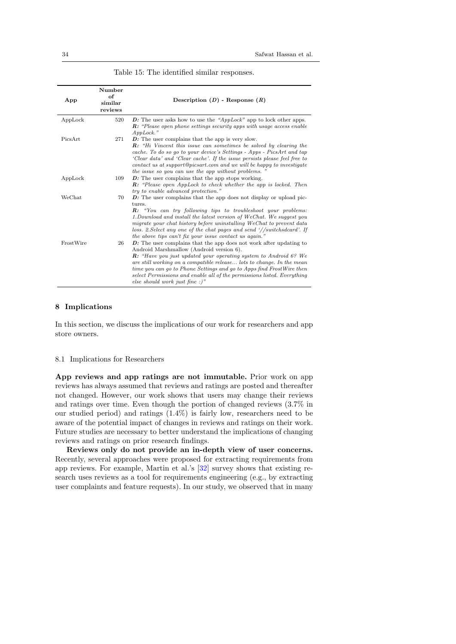<span id="page-33-1"></span>

| App       | Number<br>of<br>similar<br>reviews | Description $(D)$ - Response $(R)$                                                                                                                                                                                                                                                                                                                                                                                                                                      |
|-----------|------------------------------------|-------------------------------------------------------------------------------------------------------------------------------------------------------------------------------------------------------------------------------------------------------------------------------------------------------------------------------------------------------------------------------------------------------------------------------------------------------------------------|
| AppLock   | 520                                | D: The user asks how to use the " $AppLock$ " app to lock other apps.<br>$\bf{R}$ : "Please open phone settings security apps with usage access enable<br>$AppLock.$ "                                                                                                                                                                                                                                                                                                  |
| PicsArt   | 271                                | $D$ : The user complains that the app is very slow.<br>$\bf{R}$ : "Hi Vincent this issue can sometimes be solved by clearing the<br>cache. To do so go to your device's Settings - Apps - PicsArt and tap<br>'Clear data' and 'Clear cache'. If the issue persists please feel free to<br>contact us at support@picsart.com and we will be happy to investigate<br>the issue so you can use the app without problems."                                                  |
| AppLock   | 109                                | $D$ : The user complains that the app stops working.<br>$\mathbf{R}$ : "Please open AppLock to check whether the app is locked. Then<br>try to enable advanced protection."                                                                                                                                                                                                                                                                                             |
| WeChat    | 70                                 | $D$ : The user complains that the app does not display or upload pic-<br>tures.<br><b>R:</b> "You can try following tips to troubleshoot your problems:<br>1. Download and install the latest version of WeChat. We suggest you<br>migrate your chat history before uninstalling WeChat to prevent data<br>loss. 2. Select any one of the chat pages and send $\frac{\sqrt{3}}{\sqrt{3}}$ //switchsdcard'. If<br>the above tips can't fix your issue contact us again." |
| FrostWire | 26                                 | $D$ : The user complains that the app does not work after updating to<br>Android Marshmallow (Android version 6).<br><b>R:</b> "Have you just updated your operating system to Android 6? We<br>are still working on a compatible release lots to change. In the mean<br>time you can go to Phone Settings and go to Apps find FrostWire then<br>select Permissions and enable all of the permissions listed. Everything<br>else should work just fine :)"              |

Table 15: The identified similar responses.

#### <span id="page-33-0"></span>8 Implications

In this section, we discuss the implications of our work for researchers and app store owners.

#### 8.1 Implications for Researchers

App reviews and app ratings are not immutable. Prior work on app reviews has always assumed that reviews and ratings are posted and thereafter not changed. However, our work shows that users may change their reviews and ratings over time. Even though the portion of changed reviews (3.7% in our studied period) and ratings (1.4%) is fairly low, researchers need to be aware of the potential impact of changes in reviews and ratings on their work. Future studies are necessary to better understand the implications of changing reviews and ratings on prior research findings.

Reviews only do not provide an in-depth view of user concerns. Recently, several approaches were proposed for extracting requirements from app reviews. For example, Martin et al.'s [\[32\]](#page-41-15) survey shows that existing research uses reviews as a tool for requirements engineering (e.g., by extracting user complaints and feature requests). In our study, we observed that in many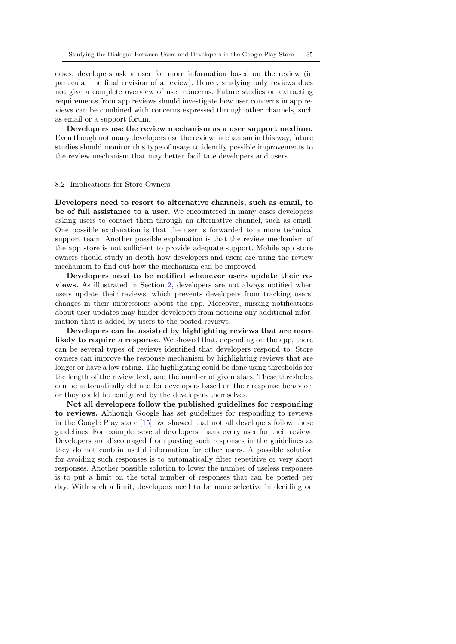cases, developers ask a user for more information based on the review (in particular the final revision of a review). Hence, studying only reviews does not give a complete overview of user concerns. Future studies on extracting requirements from app reviews should investigate how user concerns in app reviews can be combined with concerns expressed through other channels, such as email or a support forum.

Developers use the review mechanism as a user support medium. Even though not many developers use the review mechanism in this way, future studies should monitor this type of usage to identify possible improvements to the review mechanism that may better facilitate developers and users.

#### 8.2 Implications for Store Owners

Developers need to resort to alternative channels, such as email, to be of full assistance to a user. We encountered in many cases developers asking users to contact them through an alternative channel, such as email. One possible explanation is that the user is forwarded to a more technical support team. Another possible explanation is that the review mechanism of the app store is not sufficient to provide adequate support. Mobile app store owners should study in depth how developers and users are using the review mechanism to find out how the mechanism can be improved.

Developers need to be notified whenever users update their reviews. As illustrated in Section [2,](#page-4-0) developers are not always notified when users update their reviews, which prevents developers from tracking users' changes in their impressions about the app. Moreover, missing notifications about user updates may hinder developers from noticing any additional information that is added by users to the posted reviews.

Developers can be assisted by highlighting reviews that are more likely to require a response. We showed that, depending on the app, there can be several types of reviews identified that developers respond to. Store owners can improve the response mechanism by highlighting reviews that are longer or have a low rating. The highlighting could be done using thresholds for the length of the review text, and the number of given stars. These thresholds can be automatically defined for developers based on their response behavior, or they could be configured by the developers themselves.

Not all developers follow the published guidelines for responding to reviews. Although Google has set guidelines for responding to reviews in the Google Play store [\[15\]](#page-40-1), we showed that not all developers follow these guidelines. For example, several developers thank every user for their review. Developers are discouraged from posting such responses in the guidelines as they do not contain useful information for other users. A possible solution for avoiding such responses is to automatically filter repetitive or very short responses. Another possible solution to lower the number of useless responses is to put a limit on the total number of responses that can be posted per day. With such a limit, developers need to be more selective in deciding on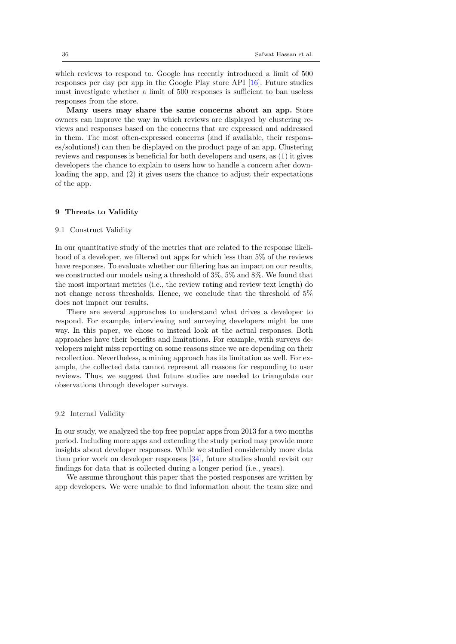which reviews to respond to. Google has recently introduced a limit of 500 responses per day per app in the Google Play store API [\[16\]](#page-40-2). Future studies must investigate whether a limit of 500 responses is sufficient to ban useless responses from the store.

Many users may share the same concerns about an app. Store owners can improve the way in which reviews are displayed by clustering reviews and responses based on the concerns that are expressed and addressed in them. The most often-expressed concerns (and if available, their responses/solutions!) can then be displayed on the product page of an app. Clustering reviews and responses is beneficial for both developers and users, as (1) it gives developers the chance to explain to users how to handle a concern after downloading the app, and (2) it gives users the chance to adjust their expectations of the app.

#### <span id="page-35-0"></span>9 Threats to Validity

#### 9.1 Construct Validity

In our quantitative study of the metrics that are related to the response likelihood of a developer, we filtered out apps for which less than 5% of the reviews have responses. To evaluate whether our filtering has an impact on our results, we constructed our models using a threshold of 3%, 5% and 8%. We found that the most important metrics (i.e., the review rating and review text length) do not change across thresholds. Hence, we conclude that the threshold of 5% does not impact our results.

There are several approaches to understand what drives a developer to respond. For example, interviewing and surveying developers might be one way. In this paper, we chose to instead look at the actual responses. Both approaches have their benefits and limitations. For example, with surveys developers might miss reporting on some reasons since we are depending on their recollection. Nevertheless, a mining approach has its limitation as well. For example, the collected data cannot represent all reasons for responding to user reviews. Thus, we suggest that future studies are needed to triangulate our observations through developer surveys.

#### 9.2 Internal Validity

In our study, we analyzed the top free popular apps from 2013 for a two months period. Including more apps and extending the study period may provide more insights about developer responses. While we studied considerably more data than prior work on developer responses [\[34\]](#page-41-2), future studies should revisit our findings for data that is collected during a longer period (i.e., years).

We assume throughout this paper that the posted responses are written by app developers. We were unable to find information about the team size and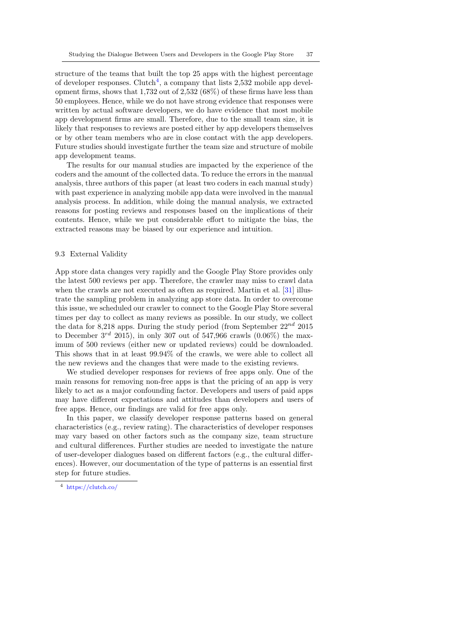structure of the teams that built the top 25 apps with the highest percentage of developer responses. Clutch<sup>[4](#page-36-0)</sup>, a company that lists 2,532 mobile app development firms, shows that 1,732 out of 2,532 (68%) of these firms have less than 50 employees. Hence, while we do not have strong evidence that responses were written by actual software developers, we do have evidence that most mobile app development firms are small. Therefore, due to the small team size, it is likely that responses to reviews are posted either by app developers themselves or by other team members who are in close contact with the app developers. Future studies should investigate further the team size and structure of mobile app development teams.

The results for our manual studies are impacted by the experience of the coders and the amount of the collected data. To reduce the errors in the manual analysis, three authors of this paper (at least two coders in each manual study) with past experience in analyzing mobile app data were involved in the manual analysis process. In addition, while doing the manual analysis, we extracted reasons for posting reviews and responses based on the implications of their contents. Hence, while we put considerable effort to mitigate the bias, the extracted reasons may be biased by our experience and intuition.

#### 9.3 External Validity

App store data changes very rapidly and the Google Play Store provides only the latest 500 reviews per app. Therefore, the crawler may miss to crawl data when the crawls are not executed as often as required. Martin et al. [\[31\]](#page-41-16) illustrate the sampling problem in analyzing app store data. In order to overcome this issue, we scheduled our crawler to connect to the Google Play Store several times per day to collect as many reviews as possible. In our study, we collect the data for 8,218 apps. During the study period (from September  $22^{nd}$  2015 to December  $3^{rd}$  2015), in only 307 out of 547,966 crawls  $(0.06\%)$  the maximum of 500 reviews (either new or updated reviews) could be downloaded. This shows that in at least 99.94% of the crawls, we were able to collect all the new reviews and the changes that were made to the existing reviews.

We studied developer responses for reviews of free apps only. One of the main reasons for removing non-free apps is that the pricing of an app is very likely to act as a major confounding factor. Developers and users of paid apps may have different expectations and attitudes than developers and users of free apps. Hence, our findings are valid for free apps only.

In this paper, we classify developer response patterns based on general characteristics (e.g., review rating). The characteristics of developer responses may vary based on other factors such as the company size, team structure and cultural differences. Further studies are needed to investigate the nature of user-developer dialogues based on different factors (e.g., the cultural differences). However, our documentation of the type of patterns is an essential first step for future studies.

<span id="page-36-0"></span><sup>4</sup> <https://clutch.co/>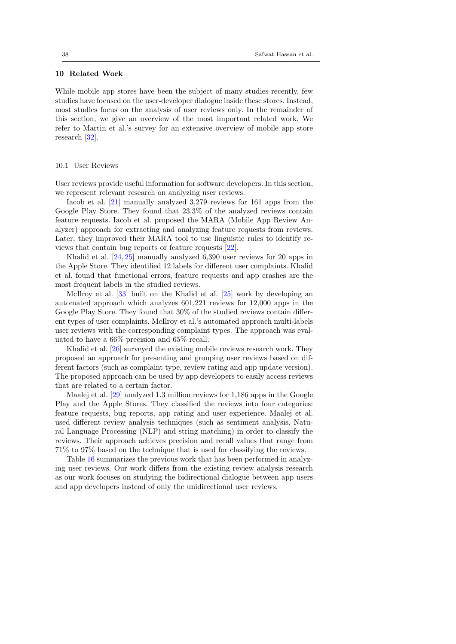## <span id="page-37-0"></span>10 Related Work

While mobile app stores have been the subject of many studies recently, few studies have focused on the user-developer dialogue inside these stores. Instead, most studies focus on the analysis of user reviews only. In the remainder of this section, we give an overview of the most important related work. We refer to Martin et al.'s survey for an extensive overview of mobile app store research [\[32\]](#page-41-15).

#### 10.1 User Reviews

User reviews provide useful information for software developers. In this section, we represent relevant research on analyzing user reviews.

Iacob et al. [\[21\]](#page-40-21) manually analyzed 3,279 reviews for 161 apps from the Google Play Store. They found that 23.3% of the analyzed reviews contain feature requests. Iacob et al. proposed the MARA (Mobile App Review Analyzer) approach for extracting and analyzing feature requests from reviews. Later, they improved their MARA tool to use linguistic rules to identify reviews that contain bug reports or feature requests [\[22\]](#page-40-22).

Khalid et al. [\[24,](#page-40-23) [25\]](#page-40-24) manually analyzed 6,390 user reviews for 20 apps in the Apple Store. They identified 12 labels for different user complaints. Khalid et al. found that functional errors, feature requests and app crashes are the most frequent labels in the studied reviews.

McIlroy et al. [\[33\]](#page-41-8) built on the Khalid et al. [\[25\]](#page-40-24) work by developing an automated approach which analyzes 601,221 reviews for 12,000 apps in the Google Play Store. They found that 30% of the studied reviews contain different types of user complaints. McIlroy et al.'s automated approach multi-labels user reviews with the corresponding complaint types. The approach was evaluated to have a 66% precision and 65% recall.

Khalid et al. [\[26\]](#page-40-25) surveyed the existing mobile reviews research work. They proposed an approach for presenting and grouping user reviews based on different factors (such as complaint type, review rating and app update version). The proposed approach can be used by app developers to easily access reviews that are related to a certain factor.

Maalej et al. [\[29\]](#page-41-3) analyzed 1.3 million reviews for 1,186 apps in the Google Play and the Apple Stores. They classified the reviews into four categories: feature requests, bug reports, app rating and user experience. Maalej et al. used different review analysis techniques (such as sentiment analysis, Natural Language Processing (NLP) and string matching) in order to classify the reviews. Their approach achieves precision and recall values that range from 71% to 97% based on the technique that is used for classifying the reviews.

Table [16](#page-38-0) summarizes the previous work that has been performed in analyzing user reviews. Our work differs from the existing review analysis research as our work focuses on studying the bidirectional dialogue between app users and app developers instead of only the unidirectional user reviews.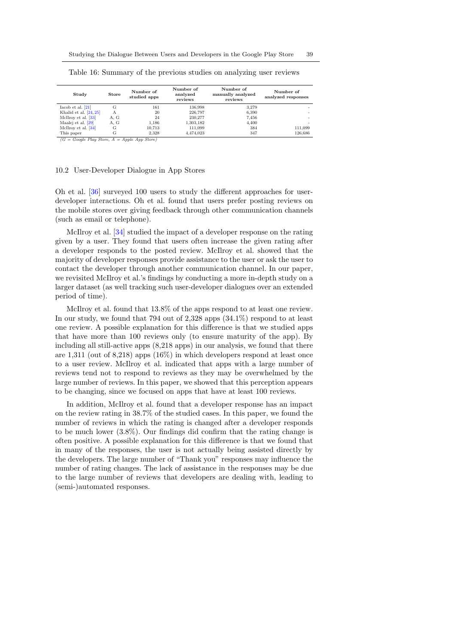| Study                    | <b>Store</b> | Number of<br>studied apps | Number of<br>analyzed<br>reviews | Number of<br>manually analyzed<br>reviews | Number of<br>analyzed responses |
|--------------------------|--------------|---------------------------|----------------------------------|-------------------------------------------|---------------------------------|
| Iacob et al. $[21]$      | G            | 161                       | 136,998                          | 3.279                                     |                                 |
| Khalid et al. $[24, 25]$ | А            | 20                        | 226,797                          | 6,390                                     |                                 |
| McIlroy et al. [33]      | A, G         | 24                        | 230,277                          | 7.456                                     |                                 |
| Maalej et al. [29]       | A. G         | 1.186                     | 1,303,182                        | 4,400                                     |                                 |
| McIlroy et al. [34]      | G            | 10.713                    | 111.099                          | 384                                       | 111.099                         |
| This paper<br>_______    | G            | 2.328                     | 4,474,023                        | 347                                       | 126.686                         |

<span id="page-38-0"></span>Table 16: Summary of the previous studies on analyzing user reviews

 $(G = Google Play Store, A = Apple App Store)$ 

10.2 User-Developer Dialogue in App Stores

Oh et al. [\[36\]](#page-41-17) surveyed 100 users to study the different approaches for userdeveloper interactions. Oh et al. found that users prefer posting reviews on the mobile stores over giving feedback through other communication channels (such as email or telephone).

McIlroy et al. [\[34\]](#page-41-2) studied the impact of a developer response on the rating given by a user. They found that users often increase the given rating after a developer responds to the posted review. McIlroy et al. showed that the majority of developer responses provide assistance to the user or ask the user to contact the developer through another communication channel. In our paper, we revisited McIlroy et al.'s findings by conducting a more in-depth study on a larger dataset (as well tracking such user-developer dialogues over an extended period of time).

McIlroy et al. found that 13.8% of the apps respond to at least one review. In our study, we found that 794 out of 2,328 apps  $(34.1\%)$  respond to at least one review. A possible explanation for this difference is that we studied apps that have more than 100 reviews only (to ensure maturity of the app). By including all still-active apps (8,218 apps) in our analysis, we found that there are 1,311 (out of 8,218) apps (16%) in which developers respond at least once to a user review. McIlroy et al. indicated that apps with a large number of reviews tend not to respond to reviews as they may be overwhelmed by the large number of reviews. In this paper, we showed that this perception appears to be changing, since we focused on apps that have at least 100 reviews.

In addition, McIlroy et al. found that a developer response has an impact on the review rating in 38.7% of the studied cases. In this paper, we found the number of reviews in which the rating is changed after a developer responds to be much lower (3.8%). Our findings did confirm that the rating change is often positive. A possible explanation for this difference is that we found that in many of the responses, the user is not actually being assisted directly by the developers. The large number of "Thank you" responses may influence the number of rating changes. The lack of assistance in the responses may be due to the large number of reviews that developers are dealing with, leading to (semi-)automated responses.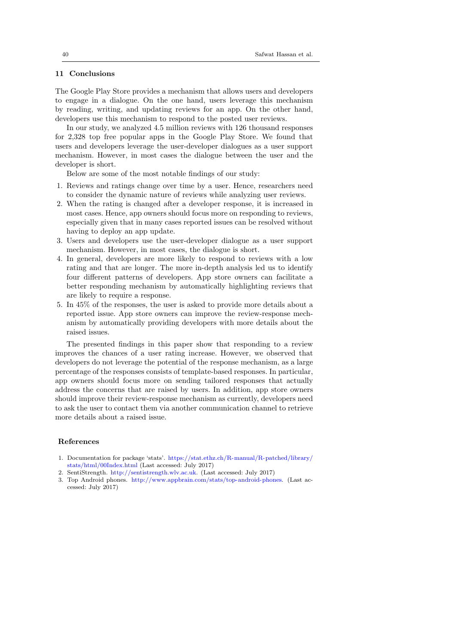## <span id="page-39-0"></span>11 Conclusions

The Google Play Store provides a mechanism that allows users and developers to engage in a dialogue. On the one hand, users leverage this mechanism by reading, writing, and updating reviews for an app. On the other hand, developers use this mechanism to respond to the posted user reviews.

In our study, we analyzed 4.5 million reviews with 126 thousand responses for 2,328 top free popular apps in the Google Play Store. We found that users and developers leverage the user-developer dialogues as a user support mechanism. However, in most cases the dialogue between the user and the developer is short.

Below are some of the most notable findings of our study:

- 1. Reviews and ratings change over time by a user. Hence, researchers need to consider the dynamic nature of reviews while analyzing user reviews.
- 2. When the rating is changed after a developer response, it is increased in most cases. Hence, app owners should focus more on responding to reviews, especially given that in many cases reported issues can be resolved without having to deploy an app update.
- 3. Users and developers use the user-developer dialogue as a user support mechanism. However, in most cases, the dialogue is short.
- 4. In general, developers are more likely to respond to reviews with a low rating and that are longer. The more in-depth analysis led us to identify four different patterns of developers. App store owners can facilitate a better responding mechanism by automatically highlighting reviews that are likely to require a response.
- 5. In 45% of the responses, the user is asked to provide more details about a reported issue. App store owners can improve the review-response mechanism by automatically providing developers with more details about the raised issues.

The presented findings in this paper show that responding to a review improves the chances of a user rating increase. However, we observed that developers do not leverage the potential of the response mechanism, as a large percentage of the responses consists of template-based responses. In particular, app owners should focus more on sending tailored responses that actually address the concerns that are raised by users. In addition, app store owners should improve their review-response mechanism as currently, developers need to ask the user to contact them via another communication channel to retrieve more details about a raised issue.

### References

- <span id="page-39-3"></span>1. Documentation for package 'stats'. [https://stat.ethz.ch/R-manual/R-patched/library/](https://stat.ethz.ch/R-manual/R-patched/library/stats/html/00Index.html) [stats/html/00Index.html](https://stat.ethz.ch/R-manual/R-patched/library/stats/html/00Index.html) (Last accessed: July 2017)
- <span id="page-39-2"></span>2. SentiStrength. [http://sentistrength.wlv.ac.uk.](http://sentistrength.wlv.ac.uk) (Last accessed: July 2017)
- <span id="page-39-1"></span>3. Top Android phones. [http://www.appbrain.com/stats/top-android-phones.](http://www.appbrain.com/stats/top-android-phones) (Last accessed: July 2017)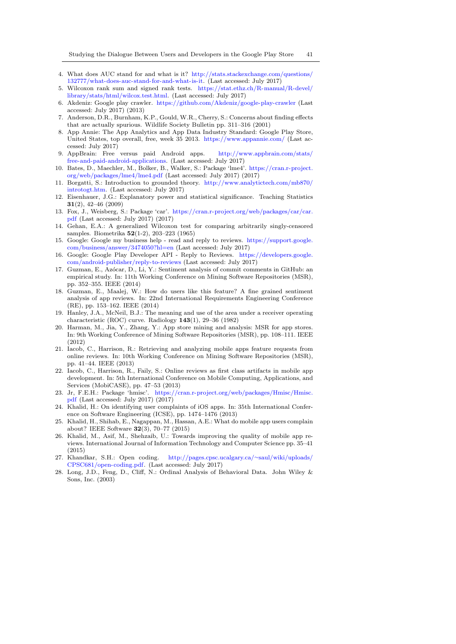- <span id="page-40-16"></span><span id="page-40-11"></span>4. What does AUC stand for and what is it? [http://stats.stackexchange.com/questions/](http://stats.stackexchange.com/questions/132777/what-does-auc-stand-for-and-what-is-it) [132777/what-does-auc-stand-for-and-what-is-it.](http://stats.stackexchange.com/questions/132777/what-does-auc-stand-for-and-what-is-it) (Last accessed: July 2017)
- <span id="page-40-6"></span>5. Wilcoxon rank sum and signed rank tests. [https://stat.ethz.ch/R-manual/R-devel/](https://stat.ethz.ch/R-manual/R-devel/library/stats/html/wilcox.test.html) [library/stats/html/wilcox.test.html.](https://stat.ethz.ch/R-manual/R-devel/library/stats/html/wilcox.test.html) (Last accessed: July 2017)
- <span id="page-40-5"></span>6. Akdeniz: Google play crawler. <https://github.com/Akdeniz/google-play-crawler> (Last accessed: July 2017) (2013)
- <span id="page-40-13"></span>7. Anderson, D.R., Burnham, K.P., Gould, W.R., Cherry, S.: Concerns about finding effects that are actually spurious. Wildlife Society Bulletin pp. 311–316 (2001)
- <span id="page-40-4"></span>8. App Annie: The App Analytics and App Data Industry Standard: Google Play Store, United States, top overall, free, week 35 2013. <https://www.appannie.com/> (Last accessed: July 2017)
- <span id="page-40-0"></span>9. AppBrain: Free versus paid Android apps. [http://www.appbrain.com/stats/](http://www.appbrain.com/stats/free-and-paid-android-applications) [free-and-paid-android-applications.](http://www.appbrain.com/stats/free-and-paid-android-applications) (Last accessed: July 2017)
- <span id="page-40-14"></span>10. Bates, D., Maechler, M., Bolker, B., Walker, S.: Package 'lme4'. [https://cran.r-project.](https://cran.r-project.org/web/packages/lme4/lme4.pdf) [org/web/packages/lme4/lme4.pdf](https://cran.r-project.org/web/packages/lme4/lme4.pdf) (Last accessed: July 2017) (2017)
- <span id="page-40-19"></span>11. Borgatti, S.: Introduction to grounded theory. [http://www.analytictech.com/mb870/](http://www.analytictech.com/mb870/introtogt.htm) [introtogt.htm.](http://www.analytictech.com/mb870/introtogt.htm) (Last accessed: July 2017)
- <span id="page-40-15"></span>12. Eisenhauer, J.G.: Explanatory power and statistical significance. Teaching Statistics 31(2), 42–46 (2009)
- <span id="page-40-18"></span>13. Fox, J., Weisberg, S.: Package 'car'. [https://cran.r-project.org/web/packages/car/car.](https://cran.r-project.org/web/packages/car/car.pdf) [pdf](https://cran.r-project.org/web/packages/car/car.pdf) (Last accessed: July 2017) (2017)
- <span id="page-40-7"></span>14. Gehan, E.A.: A generalized Wilcoxon test for comparing arbitrarily singly-censored samples. Biometrika 52(1-2), 203–223 (1965)
- <span id="page-40-1"></span>15. Google: Google my business help - read and reply to reviews. [https://support.google.](https://support.google.com/business/answer/3474050?hl=en) [com/business/answer/3474050?hl=en](https://support.google.com/business/answer/3474050?hl=en) (Last accessed: July 2017)
- <span id="page-40-2"></span>16. Google: Google Play Developer API - Reply to Reviews. [https://developers.google.](https://developers.google.com/android-publisher/reply-to-reviews) [com/android-publisher/reply-to-reviews](https://developers.google.com/android-publisher/reply-to-reviews) (Last accessed: July 2017)
- <span id="page-40-9"></span>17. Guzman, E., Azócar, D., Li, Y.: Sentiment analysis of commit comments in GitHub: an empirical study. In: 11th Working Conference on Mining Software Repositories (MSR), pp. 352–355. IEEE (2014)
- <span id="page-40-10"></span>18. Guzman, E., Maalej, W.: How do users like this feature? A fine grained sentiment analysis of app reviews. In: 22nd International Requirements Engineering Conference (RE), pp. 153–162. IEEE (2014)
- <span id="page-40-17"></span>19. Hanley, J.A., McNeil, B.J.: The meaning and use of the area under a receiver operating characteristic (ROC) curve. Radiology 143(1), 29–36 (1982)
- <span id="page-40-3"></span>20. Harman, M., Jia, Y., Zhang, Y.: App store mining and analysis: MSR for app stores. In: 9th Working Conference of Mining Software Repositories (MSR), pp. 108–111. IEEE (2012)
- <span id="page-40-21"></span>21. Iacob, C., Harrison, R.: Retrieving and analyzing mobile apps feature requests from online reviews. In: 10th Working Conference on Mining Software Repositories (MSR), pp. 41–44. IEEE (2013)
- <span id="page-40-22"></span>22. Iacob, C., Harrison, R., Faily, S.: Online reviews as first class artifacts in mobile app development. In: 5th International Conference on Mobile Computing, Applications, and Services (MobiCASE), pp. 47–53 (2013)
- <span id="page-40-12"></span>23. Jr, F.E.H.: Package 'hmisc'. [https://cran.r-project.org/web/packages/Hmisc/Hmisc.](https://cran.r-project.org/web/packages/Hmisc/Hmisc.pdf) [pdf](https://cran.r-project.org/web/packages/Hmisc/Hmisc.pdf) (Last accessed: July 2017) (2017)
- <span id="page-40-23"></span>24. Khalid, H.: On identifying user complaints of iOS apps. In: 35th International Conference on Software Engineering (ICSE), pp. 1474–1476 (2013)
- <span id="page-40-24"></span>25. Khalid, H., Shihab, E., Nagappan, M., Hassan, A.E.: What do mobile app users complain about? IEEE Software 32(3), 70–77 (2015)
- <span id="page-40-25"></span>26. Khalid, M., Asif, M., Shehzaib, U.: Towards improving the quality of mobile app reviews. International Journal of Information Technology and Computer Science pp. 35–41 (2015)
- <span id="page-40-20"></span>27. Khandkar, S.H.: Open coding. [http://pages.cpsc.ucalgary.ca/](http://pages.cpsc.ucalgary.ca/~saul/wiki/uploads/CPSC681/open-coding.pdf)∼saul/wiki/uploads/ [CPSC681/open-coding.pdf.](http://pages.cpsc.ucalgary.ca/~saul/wiki/uploads/CPSC681/open-coding.pdf) (Last accessed: July 2017)
- <span id="page-40-8"></span>28. Long, J.D., Feng, D., Cliff, N.: Ordinal Analysis of Behavioral Data. John Wiley & Sons, Inc. (2003)